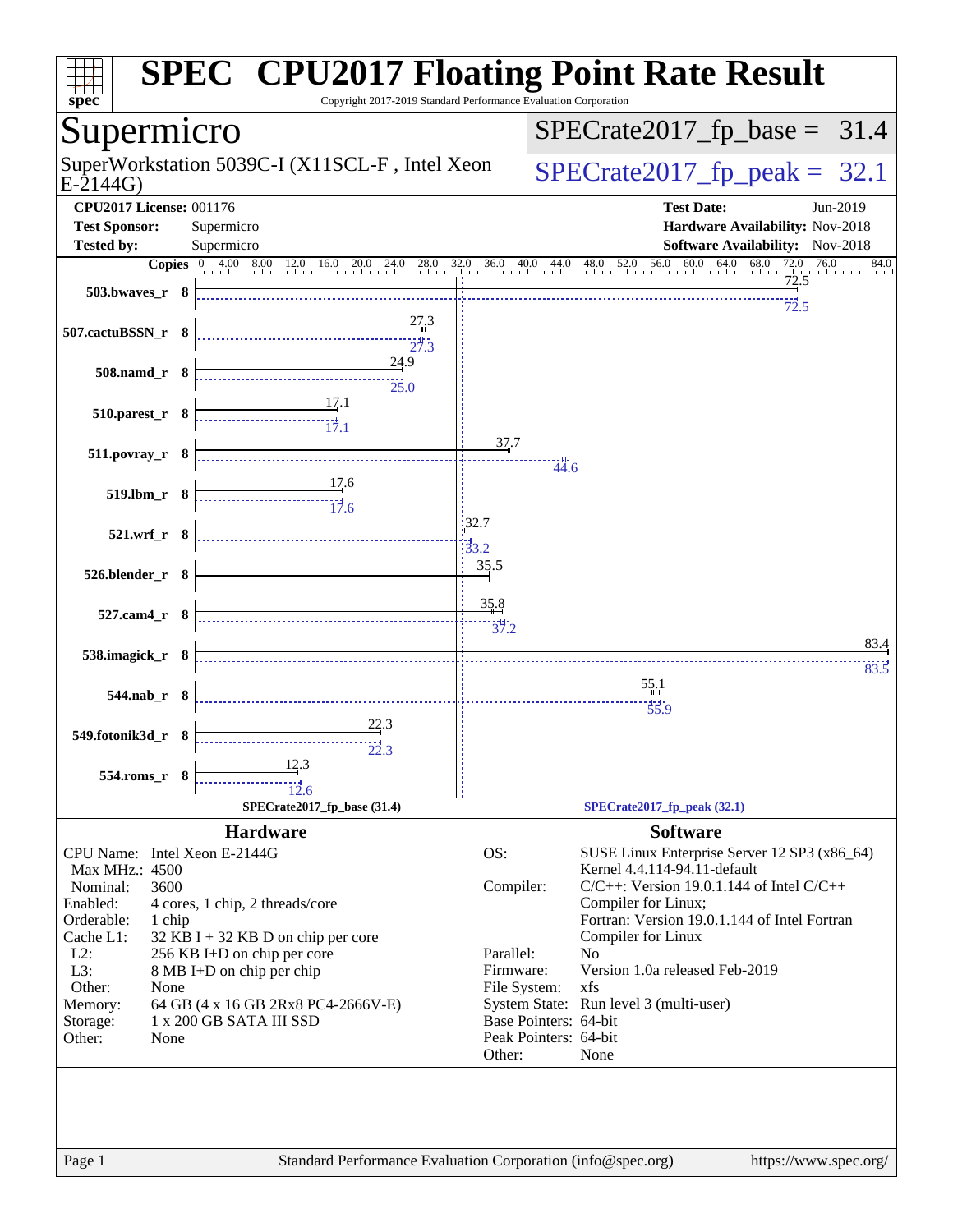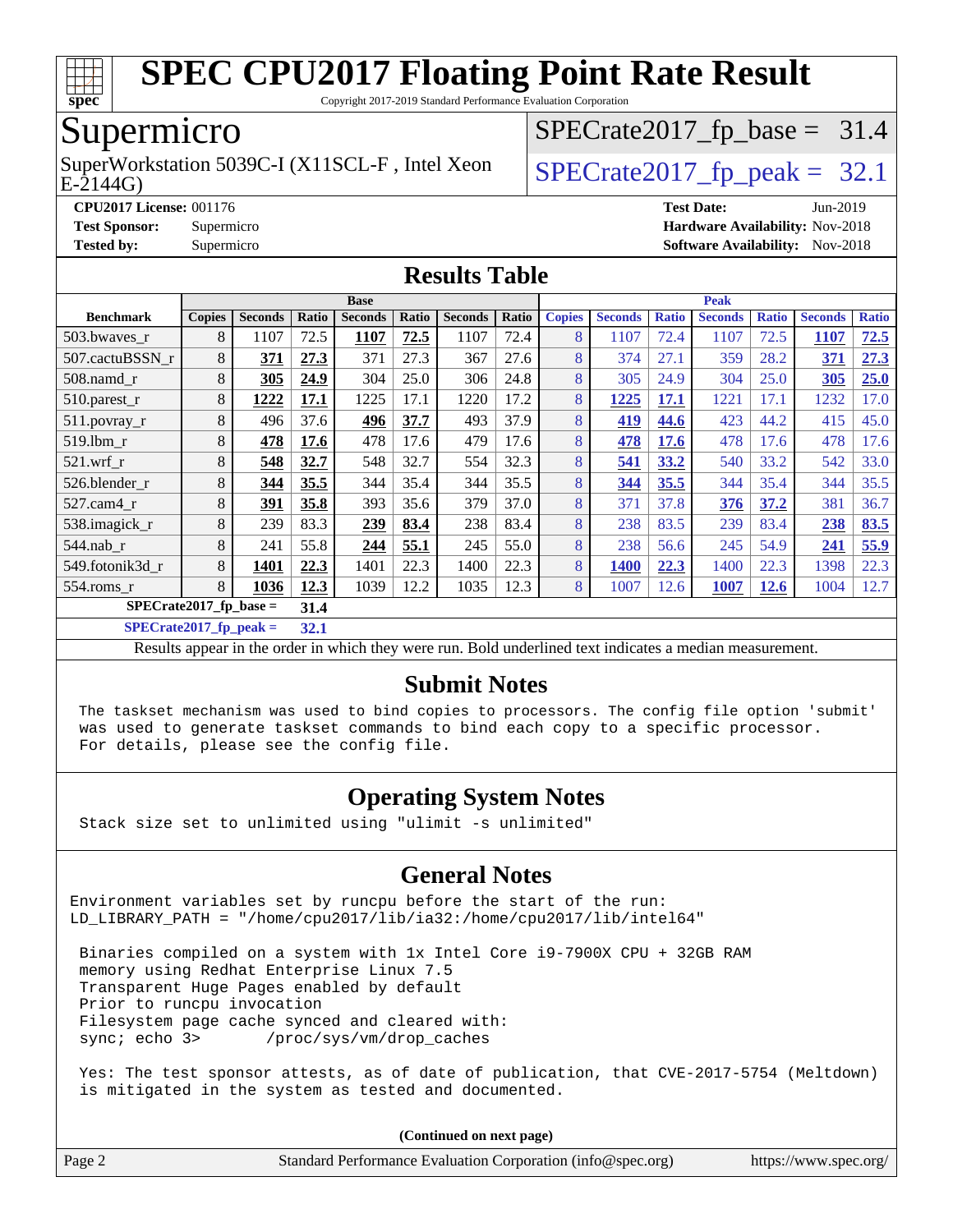

Copyright 2017-2019 Standard Performance Evaluation Corporation

## Supermicro

 $E-2144G$ SuperWorkstation 5039C-I (X11SCL-F, Intel Xeon  $\big|$  [SPECrate2017\\_fp\\_peak =](http://www.spec.org/auto/cpu2017/Docs/result-fields.html#SPECrate2017fppeak) 32.1

 $SPECTate2017_fp\_base = 31.4$ 

**[CPU2017 License:](http://www.spec.org/auto/cpu2017/Docs/result-fields.html#CPU2017License)** 001176 **[Test Date:](http://www.spec.org/auto/cpu2017/Docs/result-fields.html#TestDate)** Jun-2019

#### **[Test Sponsor:](http://www.spec.org/auto/cpu2017/Docs/result-fields.html#TestSponsor)** Supermicro **[Hardware Availability:](http://www.spec.org/auto/cpu2017/Docs/result-fields.html#HardwareAvailability)** Nov-2018 **[Tested by:](http://www.spec.org/auto/cpu2017/Docs/result-fields.html#Testedby)** Supermicro **Supermicro [Software Availability:](http://www.spec.org/auto/cpu2017/Docs/result-fields.html#SoftwareAvailability)** Nov-2018

|                          | <b>Base</b>   |                |       |                |       |                | <b>Peak</b> |               |                |              |                |              |                |              |
|--------------------------|---------------|----------------|-------|----------------|-------|----------------|-------------|---------------|----------------|--------------|----------------|--------------|----------------|--------------|
| <b>Benchmark</b>         | <b>Copies</b> | <b>Seconds</b> | Ratio | <b>Seconds</b> | Ratio | <b>Seconds</b> | Ratio       | <b>Copies</b> | <b>Seconds</b> | <b>Ratio</b> | <b>Seconds</b> | <b>Ratio</b> | <b>Seconds</b> | <b>Ratio</b> |
| $503.bwaves_r$           | 8             | 1107           | 72.5  | 1107           | 72.5  | 1107           | 72.4        | 8             | 1107           | 72.4         | 1107           | 72.5         | 1107           | 72.5         |
| 507.cactuBSSN r          | 8             | 371            | 27.3  | 371            | 27.3  | 367            | 27.6        | 8             | 374            | 27.1         | 359            | 28.2         | 371            | 27.3         |
| $508$ .namd $r$          | 8             | 305            | 24.9  | 304            | 25.0  | 306            | 24.8        | 8             | 305            | 24.9         | 304            | 25.0         | 305            | 25.0         |
| 510.parest_r             | 8             | 1222           | 17.1  | 1225           | 17.1  | 1220           | 17.2        | 8             | 1225           | 17.1         | 1221           | 17.1         | 1232           | 17.0         |
| 511.povray_r             | 8             | 496            | 37.6  | 496            | 37.7  | 493            | 37.9        | 8             | 419            | 44.6         | 423            | 44.2         | 415            | 45.0         |
| 519.1bm r                | 8             | 478            | 17.6  | 478            | 17.6  | 479            | 17.6        | 8             | 478            | 17.6         | 478            | 17.6         | 478            | 17.6         |
| $521$ .wrf r             | 8             | 548            | 32.7  | 548            | 32.7  | 554            | 32.3        | 8             | 541            | 33.2         | 540            | 33.2         | 542            | 33.0         |
| 526.blender r            | 8             | 344            | 35.5  | 344            | 35.4  | 344            | 35.5        | 8             | 344            | 35.5         | 344            | 35.4         | 344            | 35.5         |
| $527$ .cam $4$ r         | 8             | 391            | 35.8  | 393            | 35.6  | 379            | 37.0        | 8             | 371            | 37.8         | 376            | 37.2         | 381            | 36.7         |
| 538.imagick_r            | 8             | 239            | 83.3  | 239            | 83.4  | 238            | 83.4        | 8             | 238            | 83.5         | 239            | 83.4         | 238            | 83.5         |
| $544$ .nab_r             | 8             | 241            | 55.8  | 244            | 55.1  | 245            | 55.0        | 8             | 238            | 56.6         | 245            | 54.9         | 241            | 55.9         |
| 549.fotonik3d r          | 8             | 1401           | 22.3  | 1401           | 22.3  | 1400           | 22.3        | 8             | 1400           | 22.3         | 1400           | 22.3         | 1398           | 22.3         |
| $554$ .roms_r            | 8             | 1036           | 12.3  | 1039           | 12.2  | 1035           | 12.3        | 8             | 1007           | 12.6         | 1007           | <u>12.6</u>  | 1004           | 12.7         |
| $SPECrate2017$ fp base = | 31.4          |                |       |                |       |                |             |               |                |              |                |              |                |              |

**[Results Table](http://www.spec.org/auto/cpu2017/Docs/result-fields.html#ResultsTable)**

**[SPECrate2017\\_fp\\_peak =](http://www.spec.org/auto/cpu2017/Docs/result-fields.html#SPECrate2017fppeak) 32.1**

Results appear in the [order in which they were run](http://www.spec.org/auto/cpu2017/Docs/result-fields.html#RunOrder). Bold underlined text [indicates a median measurement](http://www.spec.org/auto/cpu2017/Docs/result-fields.html#Median).

#### **[Submit Notes](http://www.spec.org/auto/cpu2017/Docs/result-fields.html#SubmitNotes)**

 The taskset mechanism was used to bind copies to processors. The config file option 'submit' was used to generate taskset commands to bind each copy to a specific processor. For details, please see the config file.

### **[Operating System Notes](http://www.spec.org/auto/cpu2017/Docs/result-fields.html#OperatingSystemNotes)**

Stack size set to unlimited using "ulimit -s unlimited"

#### **[General Notes](http://www.spec.org/auto/cpu2017/Docs/result-fields.html#GeneralNotes)**

Environment variables set by runcpu before the start of the run: LD LIBRARY PATH = "/home/cpu2017/lib/ia32:/home/cpu2017/lib/intel64"

 Binaries compiled on a system with 1x Intel Core i9-7900X CPU + 32GB RAM memory using Redhat Enterprise Linux 7.5 Transparent Huge Pages enabled by default Prior to runcpu invocation Filesystem page cache synced and cleared with: sync; echo 3> /proc/sys/vm/drop\_caches

 Yes: The test sponsor attests, as of date of publication, that CVE-2017-5754 (Meltdown) is mitigated in the system as tested and documented.

**(Continued on next page)**

| Page 2 | Standard Performance Evaluation Corporation (info@spec.org) | https://www.spec.org/ |
|--------|-------------------------------------------------------------|-----------------------|
|--------|-------------------------------------------------------------|-----------------------|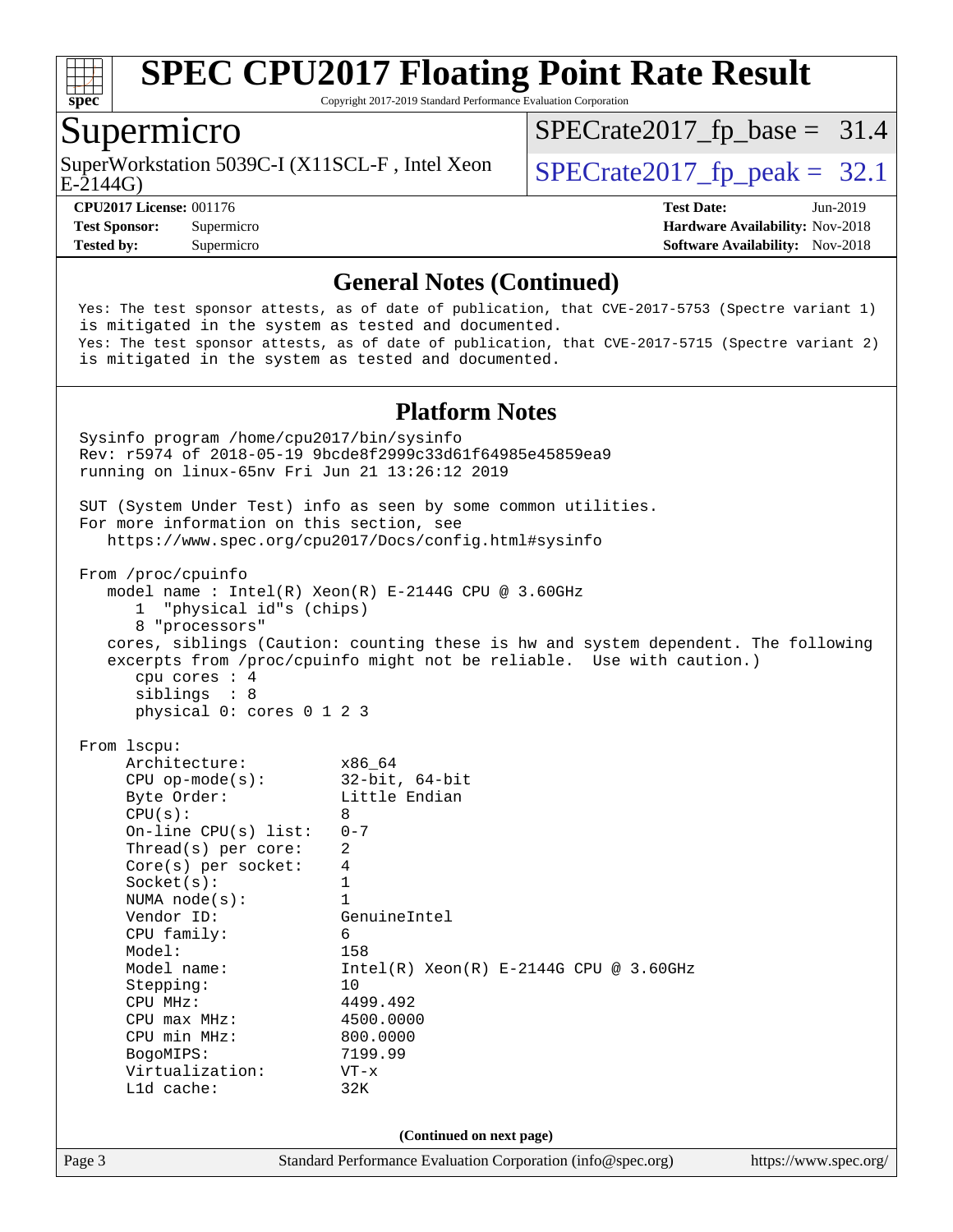

Copyright 2017-2019 Standard Performance Evaluation Corporation

### Supermicro

E-2144G) SuperWorkstation 5039C-I (X11SCL-F, Intel Xeon  $\big|$  [SPECrate2017\\_fp\\_peak =](http://www.spec.org/auto/cpu2017/Docs/result-fields.html#SPECrate2017fppeak) 32.1

 $SPECTate2017_fp\_base = 31.4$ 

**[CPU2017 License:](http://www.spec.org/auto/cpu2017/Docs/result-fields.html#CPU2017License)** 001176 **[Test Date:](http://www.spec.org/auto/cpu2017/Docs/result-fields.html#TestDate)** Jun-2019 **[Test Sponsor:](http://www.spec.org/auto/cpu2017/Docs/result-fields.html#TestSponsor)** Supermicro **[Hardware Availability:](http://www.spec.org/auto/cpu2017/Docs/result-fields.html#HardwareAvailability)** Nov-2018 **[Tested by:](http://www.spec.org/auto/cpu2017/Docs/result-fields.html#Testedby)** Supermicro **[Software Availability:](http://www.spec.org/auto/cpu2017/Docs/result-fields.html#SoftwareAvailability)** Nov-2018

#### **[General Notes \(Continued\)](http://www.spec.org/auto/cpu2017/Docs/result-fields.html#GeneralNotes)**

 Yes: The test sponsor attests, as of date of publication, that CVE-2017-5753 (Spectre variant 1) is mitigated in the system as tested and documented. Yes: The test sponsor attests, as of date of publication, that CVE-2017-5715 (Spectre variant 2) is mitigated in the system as tested and documented.

#### **[Platform Notes](http://www.spec.org/auto/cpu2017/Docs/result-fields.html#PlatformNotes)**

Page 3 Standard Performance Evaluation Corporation [\(info@spec.org\)](mailto:info@spec.org) <https://www.spec.org/> Sysinfo program /home/cpu2017/bin/sysinfo Rev: r5974 of 2018-05-19 9bcde8f2999c33d61f64985e45859ea9 running on linux-65nv Fri Jun 21 13:26:12 2019 SUT (System Under Test) info as seen by some common utilities. For more information on this section, see <https://www.spec.org/cpu2017/Docs/config.html#sysinfo> From /proc/cpuinfo model name : Intel(R) Xeon(R) E-2144G CPU @ 3.60GHz 1 "physical id"s (chips) 8 "processors" cores, siblings (Caution: counting these is hw and system dependent. The following excerpts from /proc/cpuinfo might not be reliable. Use with caution.) cpu cores : 4 siblings : 8 physical 0: cores 0 1 2 3 From lscpu: Architecture: x86\_64 CPU op-mode(s): 32-bit, 64-bit Byte Order: Little Endian  $CPU(s):$  8 On-line CPU(s) list: 0-7 Thread(s) per core: 2 Core(s) per socket: 4  $Sockets(s):$  1 NUMA node(s): 1 Vendor ID: GenuineIntel CPU family: 6 Model: 158 Model name:  $Intel(R)$  Xeon(R) E-2144G CPU @ 3.60GHz Stepping: 10 CPU MHz: 4499.492 CPU max MHz: 4500.0000 CPU min MHz: 800.0000 BogoMIPS: 7199.99 Virtualization: VT-x L1d cache: 32K **(Continued on next page)**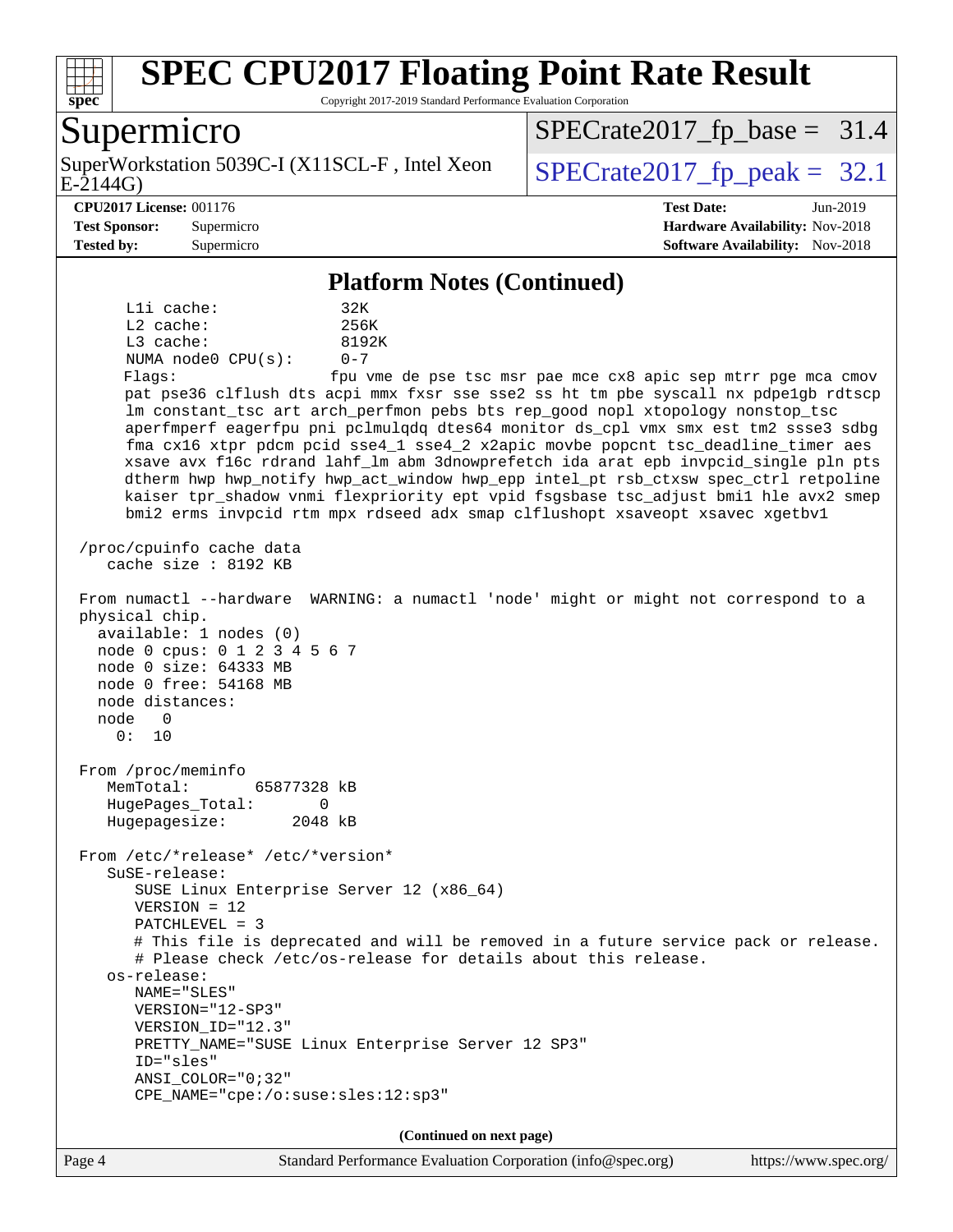

Copyright 2017-2019 Standard Performance Evaluation Corporation

### Supermicro

E-2144G) SuperWorkstation 5039C-I (X11SCL-F, Intel Xeon  $\big|$  [SPECrate2017\\_fp\\_peak =](http://www.spec.org/auto/cpu2017/Docs/result-fields.html#SPECrate2017fppeak) 32.1

 $SPECTate2017_fp\_base = 31.4$ 

**[Tested by:](http://www.spec.org/auto/cpu2017/Docs/result-fields.html#Testedby)** Supermicro **Supermicro [Software Availability:](http://www.spec.org/auto/cpu2017/Docs/result-fields.html#SoftwareAvailability)** Nov-2018

**[CPU2017 License:](http://www.spec.org/auto/cpu2017/Docs/result-fields.html#CPU2017License)** 001176 **[Test Date:](http://www.spec.org/auto/cpu2017/Docs/result-fields.html#TestDate)** Jun-2019 **[Test Sponsor:](http://www.spec.org/auto/cpu2017/Docs/result-fields.html#TestSponsor)** Supermicro **[Hardware Availability:](http://www.spec.org/auto/cpu2017/Docs/result-fields.html#HardwareAvailability)** Nov-2018

#### **[Platform Notes \(Continued\)](http://www.spec.org/auto/cpu2017/Docs/result-fields.html#PlatformNotes)**

L1i cache: 32K L2 cache: 256K L3 cache: 8192K NUMA node0 CPU(s): 0-7 Flags: fpu vme de pse tsc msr pae mce cx8 apic sep mtrr pge mca cmov

 pat pse36 clflush dts acpi mmx fxsr sse sse2 ss ht tm pbe syscall nx pdpe1gb rdtscp lm constant\_tsc art arch\_perfmon pebs bts rep\_good nopl xtopology nonstop\_tsc aperfmperf eagerfpu pni pclmulqdq dtes64 monitor ds\_cpl vmx smx est tm2 ssse3 sdbg fma cx16 xtpr pdcm pcid sse4\_1 sse4\_2 x2apic movbe popcnt tsc\_deadline\_timer aes xsave avx f16c rdrand lahf\_lm abm 3dnowprefetch ida arat epb invpcid\_single pln pts dtherm hwp hwp\_notify hwp\_act\_window hwp\_epp intel\_pt rsb\_ctxsw spec\_ctrl retpoline kaiser tpr\_shadow vnmi flexpriority ept vpid fsgsbase tsc\_adjust bmi1 hle avx2 smep bmi2 erms invpcid rtm mpx rdseed adx smap clflushopt xsaveopt xsavec xgetbv1

 /proc/cpuinfo cache data cache size : 8192 KB

 From numactl --hardware WARNING: a numactl 'node' might or might not correspond to a physical chip.

 available: 1 nodes (0) node 0 cpus: 0 1 2 3 4 5 6 7 node 0 size: 64333 MB node 0 free: 54168 MB node distances: node 0

 From /proc/meminfo MemTotal: 65877328 kB HugePages\_Total: 0 Hugepagesize: 2048 kB

From /etc/\*release\* /etc/\*version\*

 SuSE-release: SUSE Linux Enterprise Server 12 (x86\_64)

VERSION = 12

0: 10

PATCHLEVEL = 3

 # This file is deprecated and will be removed in a future service pack or release. # Please check /etc/os-release for details about this release.

 os-release: NAME="SLES" VERSION="12-SP3"

 VERSION\_ID="12.3" PRETTY\_NAME="SUSE Linux Enterprise Server 12 SP3" ID="sles"

 ANSI\_COLOR="0;32" CPE\_NAME="cpe:/o:suse:sles:12:sp3"

**(Continued on next page)**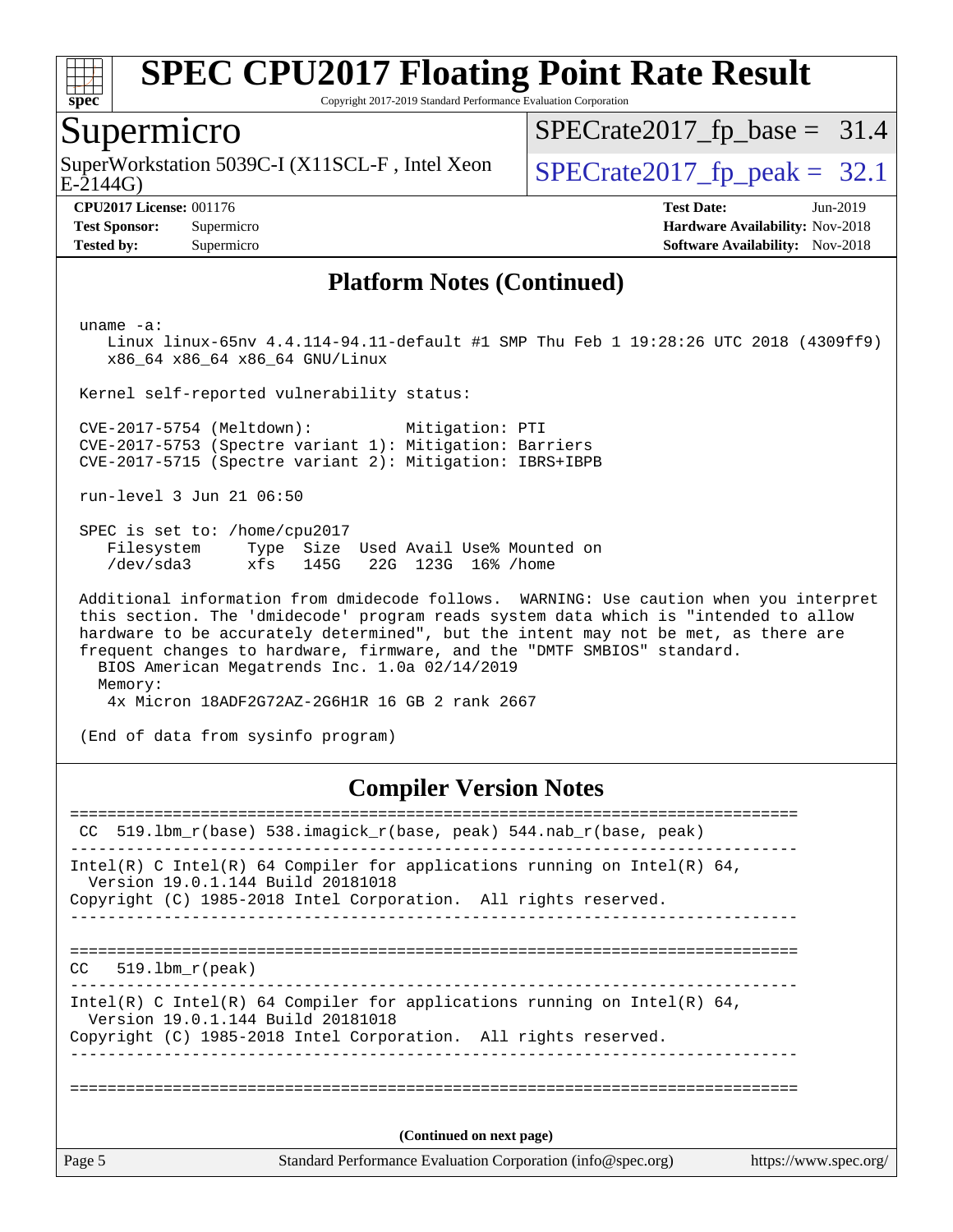

Copyright 2017-2019 Standard Performance Evaluation Corporation

### Supermicro

SuperWorkstation 5039C-I (X11SCL-F, Intel Xeon  $\big|$  [SPECrate2017\\_fp\\_peak =](http://www.spec.org/auto/cpu2017/Docs/result-fields.html#SPECrate2017fppeak) 32.1

 $SPECTate2017_fp\_base = 31.4$ 

E-2144G)

**[Tested by:](http://www.spec.org/auto/cpu2017/Docs/result-fields.html#Testedby)** Supermicro [Software Availability:](http://www.spec.org/auto/cpu2017/Docs/result-fields.html#SoftwareAvailability) Nov-2018

**[CPU2017 License:](http://www.spec.org/auto/cpu2017/Docs/result-fields.html#CPU2017License)** 001176 **[Test Date:](http://www.spec.org/auto/cpu2017/Docs/result-fields.html#TestDate)** Jun-2019 **[Test Sponsor:](http://www.spec.org/auto/cpu2017/Docs/result-fields.html#TestSponsor)** Supermicro **[Hardware Availability:](http://www.spec.org/auto/cpu2017/Docs/result-fields.html#HardwareAvailability)** Nov-2018

#### **[Platform Notes \(Continued\)](http://www.spec.org/auto/cpu2017/Docs/result-fields.html#PlatformNotes)**

uname -a:

 Linux linux-65nv 4.4.114-94.11-default #1 SMP Thu Feb 1 19:28:26 UTC 2018 (4309ff9) x86\_64 x86\_64 x86\_64 GNU/Linux

Kernel self-reported vulnerability status:

 CVE-2017-5754 (Meltdown): Mitigation: PTI CVE-2017-5753 (Spectre variant 1): Mitigation: Barriers CVE-2017-5715 (Spectre variant 2): Mitigation: IBRS+IBPB

run-level 3 Jun 21 06:50

 SPEC is set to: /home/cpu2017 Filesystem Type Size Used Avail Use% Mounted on /dev/sda3 xfs 145G 22G 123G 16% /home

 Additional information from dmidecode follows. WARNING: Use caution when you interpret this section. The 'dmidecode' program reads system data which is "intended to allow hardware to be accurately determined", but the intent may not be met, as there are frequent changes to hardware, firmware, and the "DMTF SMBIOS" standard. BIOS American Megatrends Inc. 1.0a 02/14/2019 Memory: 4x Micron 18ADF2G72AZ-2G6H1R 16 GB 2 rank 2667

(End of data from sysinfo program)

#### **[Compiler Version Notes](http://www.spec.org/auto/cpu2017/Docs/result-fields.html#CompilerVersionNotes)**

Page 5 Standard Performance Evaluation Corporation [\(info@spec.org\)](mailto:info@spec.org) <https://www.spec.org/> ============================================================================== CC 519.lbm\_r(base) 538.imagick\_r(base, peak) 544.nab\_r(base, peak) ------------------------------------------------------------------------------ Intel(R) C Intel(R) 64 Compiler for applications running on Intel(R)  $64$ , Version 19.0.1.144 Build 20181018 Copyright (C) 1985-2018 Intel Corporation. All rights reserved. ------------------------------------------------------------------------------ ============================================================================== CC 519.lbm\_r(peak) ------------------------------------------------------------------------------ Intel(R) C Intel(R) 64 Compiler for applications running on Intel(R)  $64$ , Version 19.0.1.144 Build 20181018 Copyright (C) 1985-2018 Intel Corporation. All rights reserved. ------------------------------------------------------------------------------ ============================================================================== **(Continued on next page)**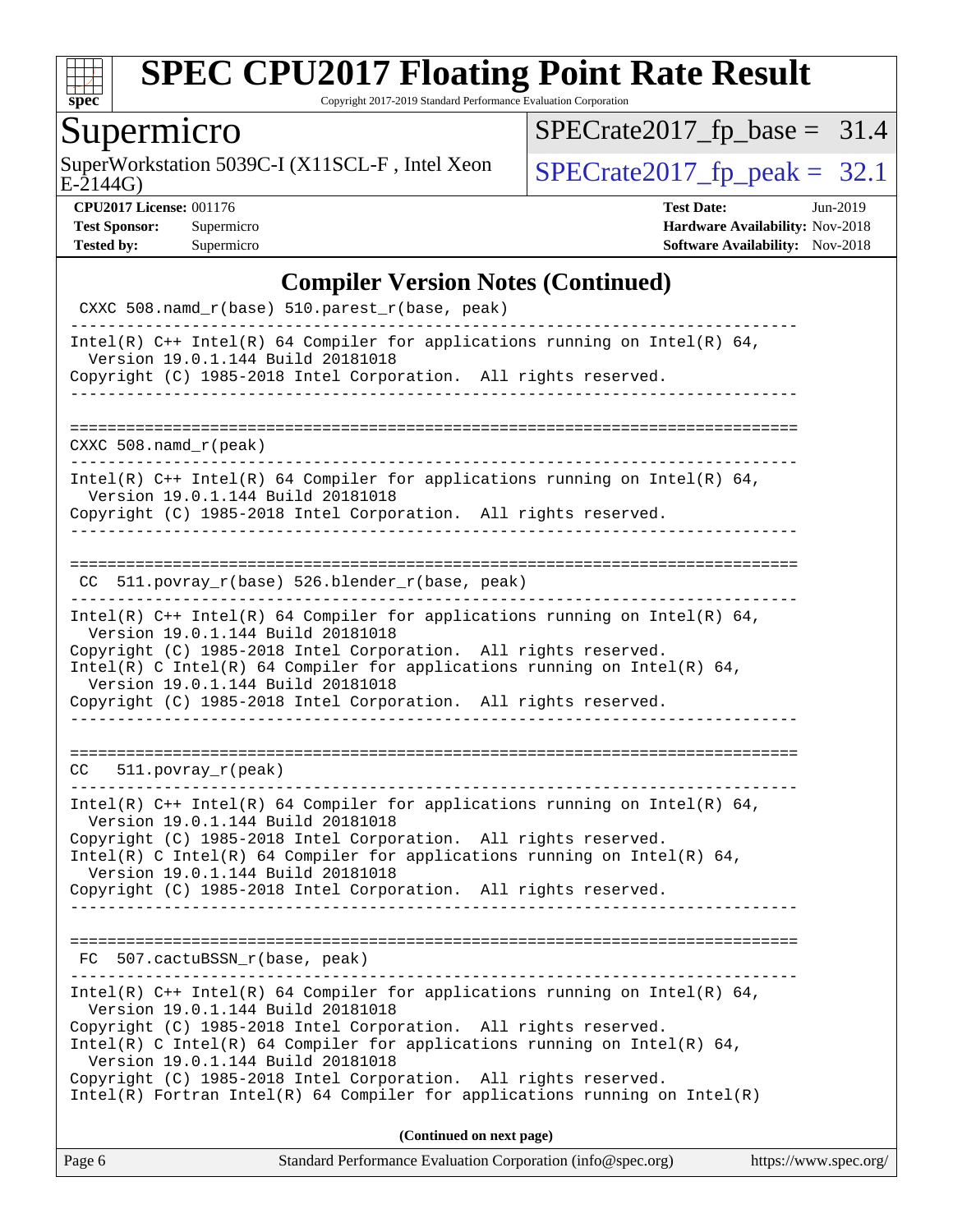

Copyright 2017-2019 Standard Performance Evaluation Corporation

Supermicro<br>SuperWorkstation 5039C-I (X11SCL-F, Intel Xeon E-2144G)

 $SPECrate2017_fp\_base = 31.4$ 

 $SPECTate2017_f p\_peak = 32.1$ 

**[CPU2017 License:](http://www.spec.org/auto/cpu2017/Docs/result-fields.html#CPU2017License)** 001176 **[Test Date:](http://www.spec.org/auto/cpu2017/Docs/result-fields.html#TestDate)** Jun-2019 **[Test Sponsor:](http://www.spec.org/auto/cpu2017/Docs/result-fields.html#TestSponsor)** Supermicro **[Hardware Availability:](http://www.spec.org/auto/cpu2017/Docs/result-fields.html#HardwareAvailability)** Nov-2018 **[Tested by:](http://www.spec.org/auto/cpu2017/Docs/result-fields.html#Testedby)** Supermicro **Supermicro [Software Availability:](http://www.spec.org/auto/cpu2017/Docs/result-fields.html#SoftwareAvailability)** Nov-2018

#### **[Compiler Version Notes \(Continued\)](http://www.spec.org/auto/cpu2017/Docs/result-fields.html#CompilerVersionNotes)**

| $Intel(R)$ Fortran Intel(R) 64 Compiler for applications running on Intel(R)<br>(Continued on next page)                                                                                                                                                                                                                                                                 |  |
|--------------------------------------------------------------------------------------------------------------------------------------------------------------------------------------------------------------------------------------------------------------------------------------------------------------------------------------------------------------------------|--|
|                                                                                                                                                                                                                                                                                                                                                                          |  |
| Intel(R) C++ Intel(R) 64 Compiler for applications running on Intel(R) 64,<br>Version 19.0.1.144 Build 20181018<br>Copyright (C) 1985-2018 Intel Corporation. All rights reserved.<br>Intel(R) C Intel(R) 64 Compiler for applications running on Intel(R) 64,<br>Version 19.0.1.144 Build 20181018<br>Copyright (C) 1985-2018 Intel Corporation. All rights reserved.   |  |
| FC 507.cactuBSSN_r(base, peak)                                                                                                                                                                                                                                                                                                                                           |  |
| Intel(R) $C++$ Intel(R) 64 Compiler for applications running on Intel(R) 64,<br>Version 19.0.1.144 Build 20181018<br>Copyright (C) 1985-2018 Intel Corporation. All rights reserved.<br>Intel(R) C Intel(R) 64 Compiler for applications running on Intel(R) 64,<br>Version 19.0.1.144 Build 20181018<br>Copyright (C) 1985-2018 Intel Corporation. All rights reserved. |  |
| $CC = 511. povray_r (peak)$                                                                                                                                                                                                                                                                                                                                              |  |
| Copyright (C) 1985-2018 Intel Corporation. All rights reserved.                                                                                                                                                                                                                                                                                                          |  |
| Copyright (C) 1985-2018 Intel Corporation. All rights reserved.<br>Intel(R) C Intel(R) 64 Compiler for applications running on Intel(R) 64,<br>Version 19.0.1.144 Build 20181018                                                                                                                                                                                         |  |
| Intel(R) $C++$ Intel(R) 64 Compiler for applications running on Intel(R) 64,<br>Version 19.0.1.144 Build 20181018                                                                                                                                                                                                                                                        |  |
| CC 511.povray_r(base) 526.blender_r(base, peak)                                                                                                                                                                                                                                                                                                                          |  |
| Intel(R) $C++$ Intel(R) 64 Compiler for applications running on Intel(R) 64,<br>Version 19.0.1.144 Build 20181018<br>Copyright (C) 1985-2018 Intel Corporation. All rights reserved.                                                                                                                                                                                     |  |
| CXXC $508.namd_r(peak)$                                                                                                                                                                                                                                                                                                                                                  |  |
| ________________                                                                                                                                                                                                                                                                                                                                                         |  |
| Version 19.0.1.144 Build 20181018<br>Copyright (C) 1985-2018 Intel Corporation. All rights reserved.                                                                                                                                                                                                                                                                     |  |
|                                                                                                                                                                                                                                                                                                                                                                          |  |
| CXXC 508.namd_r(base) 510.parest_r(base, peak)<br>Intel(R) $C++$ Intel(R) 64 Compiler for applications running on Intel(R) 64,                                                                                                                                                                                                                                           |  |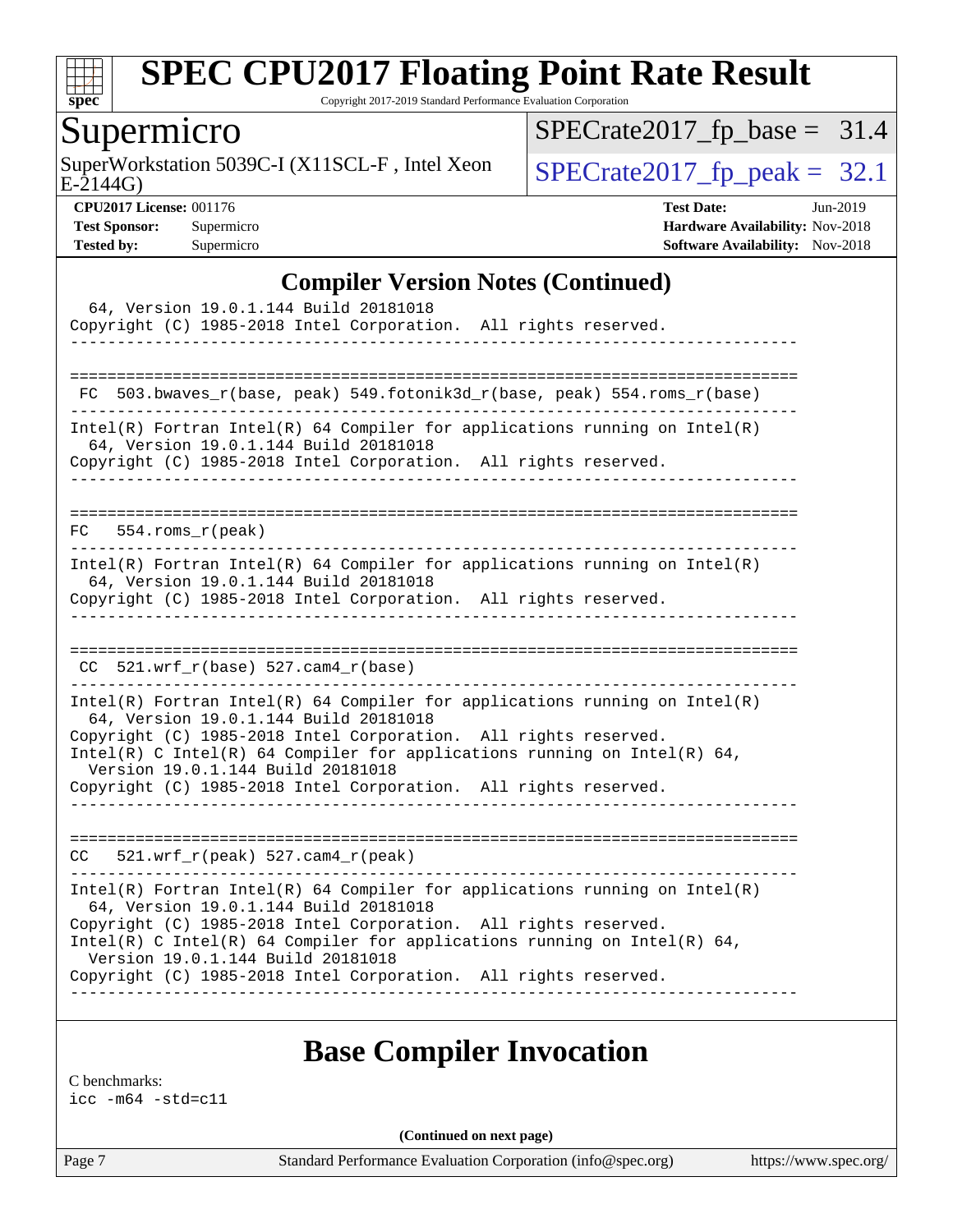

Copyright 2017-2019 Standard Performance Evaluation Corporation

# Supermicro

SuperWorkstation 5039C-I (X11SCL-F, Intel Xeon  $SPECrate2017_fp\_peak = 32.1$ 

 $SPECrate2017_fp\_base = 31.4$ 

E-2144G)

**[CPU2017 License:](http://www.spec.org/auto/cpu2017/Docs/result-fields.html#CPU2017License)** 001176 **[Test Date:](http://www.spec.org/auto/cpu2017/Docs/result-fields.html#TestDate)** Jun-2019 **[Test Sponsor:](http://www.spec.org/auto/cpu2017/Docs/result-fields.html#TestSponsor)** Supermicro **[Hardware Availability:](http://www.spec.org/auto/cpu2017/Docs/result-fields.html#HardwareAvailability)** Nov-2018 **[Tested by:](http://www.spec.org/auto/cpu2017/Docs/result-fields.html#Testedby)** Supermicro **Supermicro [Software Availability:](http://www.spec.org/auto/cpu2017/Docs/result-fields.html#SoftwareAvailability)** Nov-2018

#### **[Compiler Version Notes \(Continued\)](http://www.spec.org/auto/cpu2017/Docs/result-fields.html#CompilerVersionNotes)**

| 64, Version 19.0.1.144 Build 20181018<br>Copyright (C) 1985-2018 Intel Corporation. All rights reserved.                                                                                                                                                                                                                                                                     |
|------------------------------------------------------------------------------------------------------------------------------------------------------------------------------------------------------------------------------------------------------------------------------------------------------------------------------------------------------------------------------|
| 503.bwaves_r(base, peak) 549.fotonik3d_r(base, peak) 554.roms_r(base)<br>FC                                                                                                                                                                                                                                                                                                  |
| $Intel(R)$ Fortran Intel(R) 64 Compiler for applications running on Intel(R)<br>64, Version 19.0.1.144 Build 20181018<br>Copyright (C) 1985-2018 Intel Corporation. All rights reserved.                                                                                                                                                                                     |
| $FC$ 554.roms $r$ (peak)                                                                                                                                                                                                                                                                                                                                                     |
| Intel(R) Fortran Intel(R) 64 Compiler for applications running on Intel(R)<br>64, Version 19.0.1.144 Build 20181018<br>Copyright (C) 1985-2018 Intel Corporation. All rights reserved.<br>____________________                                                                                                                                                               |
| $CC$ 521.wrf_r(base) 527.cam4_r(base)                                                                                                                                                                                                                                                                                                                                        |
| $Intel(R)$ Fortran Intel(R) 64 Compiler for applications running on Intel(R)<br>64, Version 19.0.1.144 Build 20181018<br>Copyright (C) 1985-2018 Intel Corporation. All rights reserved.<br>Intel(R) C Intel(R) 64 Compiler for applications running on Intel(R) 64,<br>Version 19.0.1.144 Build 20181018<br>Copyright (C) 1985-2018 Intel Corporation. All rights reserved. |
| 521.wrf_r(peak) 527.cam4_r(peak)<br>CC                                                                                                                                                                                                                                                                                                                                       |
| $Intel(R)$ Fortran Intel(R) 64 Compiler for applications running on Intel(R)<br>64, Version 19.0.1.144 Build 20181018<br>Copyright (C) 1985-2018 Intel Corporation. All rights reserved.<br>Intel(R) C Intel(R) 64 Compiler for applications running on Intel(R) 64,<br>Version 19.0.1.144 Build 20181018<br>Copyright (C) 1985-2018 Intel Corporation. All rights reserved. |

### **[Base Compiler Invocation](http://www.spec.org/auto/cpu2017/Docs/result-fields.html#BaseCompilerInvocation)**

[C benchmarks:](http://www.spec.org/auto/cpu2017/Docs/result-fields.html#Cbenchmarks) [icc -m64 -std=c11](http://www.spec.org/cpu2017/results/res2019q3/cpu2017-20190625-15861.flags.html#user_CCbase_intel_icc_64bit_c11_33ee0cdaae7deeeab2a9725423ba97205ce30f63b9926c2519791662299b76a0318f32ddfffdc46587804de3178b4f9328c46fa7c2b0cd779d7a61945c91cd35)

**(Continued on next page)**

Page 7 Standard Performance Evaluation Corporation [\(info@spec.org\)](mailto:info@spec.org) <https://www.spec.org/>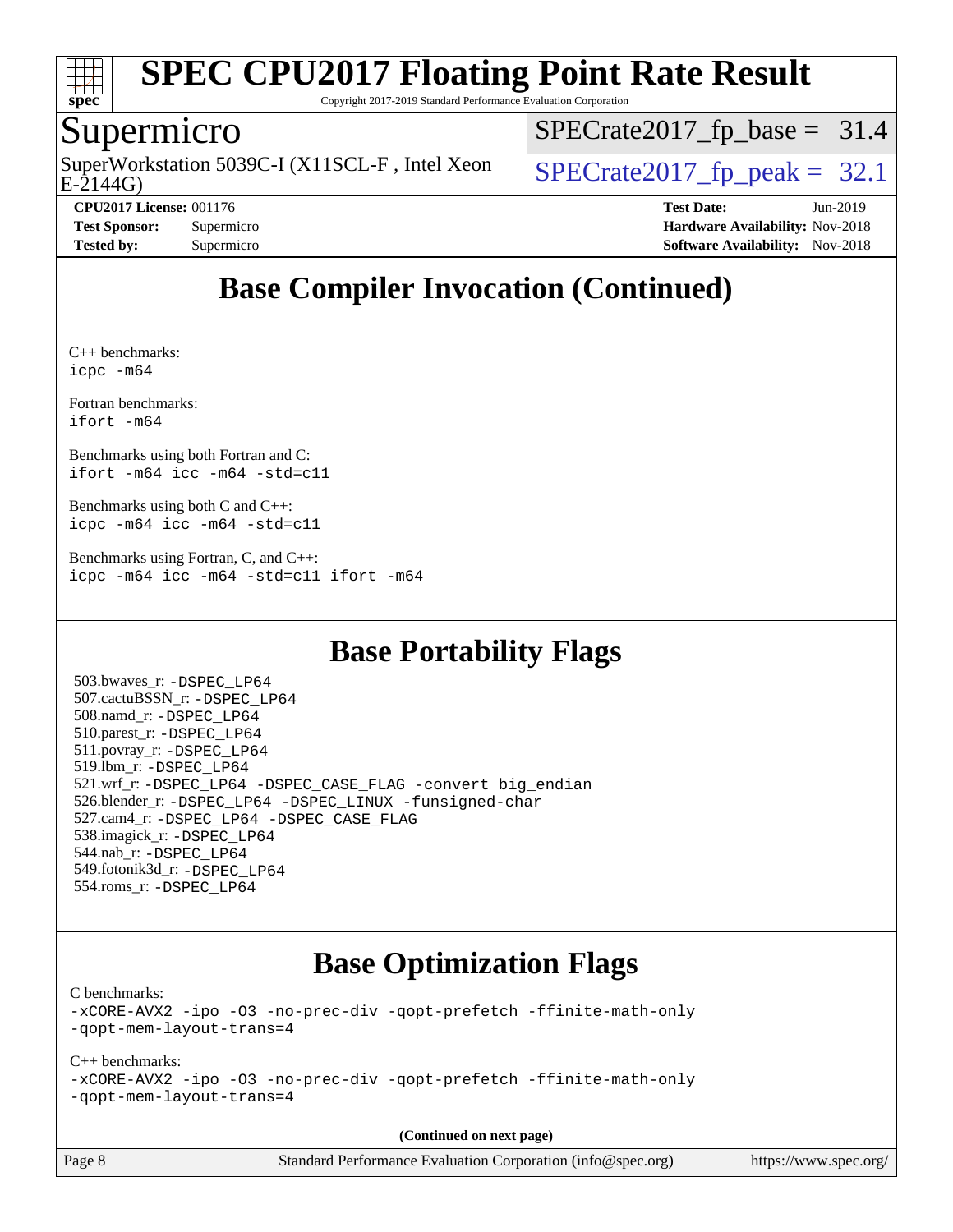

Copyright 2017-2019 Standard Performance Evaluation Corporation

### Supermicro

E-2144G) SuperWorkstation 5039C-I (X11SCL-F, Intel Xeon  $\big|$  [SPECrate2017\\_fp\\_peak =](http://www.spec.org/auto/cpu2017/Docs/result-fields.html#SPECrate2017fppeak) 32.1

 $SPECrate2017_fp\_base = 31.4$ 

**[Tested by:](http://www.spec.org/auto/cpu2017/Docs/result-fields.html#Testedby)** Supermicro **Supermicro [Software Availability:](http://www.spec.org/auto/cpu2017/Docs/result-fields.html#SoftwareAvailability)** Nov-2018

**[CPU2017 License:](http://www.spec.org/auto/cpu2017/Docs/result-fields.html#CPU2017License)** 001176 **[Test Date:](http://www.spec.org/auto/cpu2017/Docs/result-fields.html#TestDate)** Jun-2019 **[Test Sponsor:](http://www.spec.org/auto/cpu2017/Docs/result-fields.html#TestSponsor)** Supermicro **[Hardware Availability:](http://www.spec.org/auto/cpu2017/Docs/result-fields.html#HardwareAvailability)** Nov-2018

# **[Base Compiler Invocation \(Continued\)](http://www.spec.org/auto/cpu2017/Docs/result-fields.html#BaseCompilerInvocation)**

[C++ benchmarks](http://www.spec.org/auto/cpu2017/Docs/result-fields.html#CXXbenchmarks): [icpc -m64](http://www.spec.org/cpu2017/results/res2019q3/cpu2017-20190625-15861.flags.html#user_CXXbase_intel_icpc_64bit_4ecb2543ae3f1412ef961e0650ca070fec7b7afdcd6ed48761b84423119d1bf6bdf5cad15b44d48e7256388bc77273b966e5eb805aefd121eb22e9299b2ec9d9)

[Fortran benchmarks](http://www.spec.org/auto/cpu2017/Docs/result-fields.html#Fortranbenchmarks): [ifort -m64](http://www.spec.org/cpu2017/results/res2019q3/cpu2017-20190625-15861.flags.html#user_FCbase_intel_ifort_64bit_24f2bb282fbaeffd6157abe4f878425411749daecae9a33200eee2bee2fe76f3b89351d69a8130dd5949958ce389cf37ff59a95e7a40d588e8d3a57e0c3fd751)

[Benchmarks using both Fortran and C:](http://www.spec.org/auto/cpu2017/Docs/result-fields.html#BenchmarksusingbothFortranandC) [ifort -m64](http://www.spec.org/cpu2017/results/res2019q3/cpu2017-20190625-15861.flags.html#user_CC_FCbase_intel_ifort_64bit_24f2bb282fbaeffd6157abe4f878425411749daecae9a33200eee2bee2fe76f3b89351d69a8130dd5949958ce389cf37ff59a95e7a40d588e8d3a57e0c3fd751) [icc -m64 -std=c11](http://www.spec.org/cpu2017/results/res2019q3/cpu2017-20190625-15861.flags.html#user_CC_FCbase_intel_icc_64bit_c11_33ee0cdaae7deeeab2a9725423ba97205ce30f63b9926c2519791662299b76a0318f32ddfffdc46587804de3178b4f9328c46fa7c2b0cd779d7a61945c91cd35)

[Benchmarks using both C and C++](http://www.spec.org/auto/cpu2017/Docs/result-fields.html#BenchmarksusingbothCandCXX): [icpc -m64](http://www.spec.org/cpu2017/results/res2019q3/cpu2017-20190625-15861.flags.html#user_CC_CXXbase_intel_icpc_64bit_4ecb2543ae3f1412ef961e0650ca070fec7b7afdcd6ed48761b84423119d1bf6bdf5cad15b44d48e7256388bc77273b966e5eb805aefd121eb22e9299b2ec9d9) [icc -m64 -std=c11](http://www.spec.org/cpu2017/results/res2019q3/cpu2017-20190625-15861.flags.html#user_CC_CXXbase_intel_icc_64bit_c11_33ee0cdaae7deeeab2a9725423ba97205ce30f63b9926c2519791662299b76a0318f32ddfffdc46587804de3178b4f9328c46fa7c2b0cd779d7a61945c91cd35)

[Benchmarks using Fortran, C, and C++:](http://www.spec.org/auto/cpu2017/Docs/result-fields.html#BenchmarksusingFortranCandCXX) [icpc -m64](http://www.spec.org/cpu2017/results/res2019q3/cpu2017-20190625-15861.flags.html#user_CC_CXX_FCbase_intel_icpc_64bit_4ecb2543ae3f1412ef961e0650ca070fec7b7afdcd6ed48761b84423119d1bf6bdf5cad15b44d48e7256388bc77273b966e5eb805aefd121eb22e9299b2ec9d9) [icc -m64 -std=c11](http://www.spec.org/cpu2017/results/res2019q3/cpu2017-20190625-15861.flags.html#user_CC_CXX_FCbase_intel_icc_64bit_c11_33ee0cdaae7deeeab2a9725423ba97205ce30f63b9926c2519791662299b76a0318f32ddfffdc46587804de3178b4f9328c46fa7c2b0cd779d7a61945c91cd35) [ifort -m64](http://www.spec.org/cpu2017/results/res2019q3/cpu2017-20190625-15861.flags.html#user_CC_CXX_FCbase_intel_ifort_64bit_24f2bb282fbaeffd6157abe4f878425411749daecae9a33200eee2bee2fe76f3b89351d69a8130dd5949958ce389cf37ff59a95e7a40d588e8d3a57e0c3fd751)

# **[Base Portability Flags](http://www.spec.org/auto/cpu2017/Docs/result-fields.html#BasePortabilityFlags)**

 503.bwaves\_r: [-DSPEC\\_LP64](http://www.spec.org/cpu2017/results/res2019q3/cpu2017-20190625-15861.flags.html#suite_basePORTABILITY503_bwaves_r_DSPEC_LP64) 507.cactuBSSN\_r: [-DSPEC\\_LP64](http://www.spec.org/cpu2017/results/res2019q3/cpu2017-20190625-15861.flags.html#suite_basePORTABILITY507_cactuBSSN_r_DSPEC_LP64) 508.namd\_r: [-DSPEC\\_LP64](http://www.spec.org/cpu2017/results/res2019q3/cpu2017-20190625-15861.flags.html#suite_basePORTABILITY508_namd_r_DSPEC_LP64) 510.parest\_r: [-DSPEC\\_LP64](http://www.spec.org/cpu2017/results/res2019q3/cpu2017-20190625-15861.flags.html#suite_basePORTABILITY510_parest_r_DSPEC_LP64) 511.povray\_r: [-DSPEC\\_LP64](http://www.spec.org/cpu2017/results/res2019q3/cpu2017-20190625-15861.flags.html#suite_basePORTABILITY511_povray_r_DSPEC_LP64) 519.lbm\_r: [-DSPEC\\_LP64](http://www.spec.org/cpu2017/results/res2019q3/cpu2017-20190625-15861.flags.html#suite_basePORTABILITY519_lbm_r_DSPEC_LP64) 521.wrf\_r: [-DSPEC\\_LP64](http://www.spec.org/cpu2017/results/res2019q3/cpu2017-20190625-15861.flags.html#suite_basePORTABILITY521_wrf_r_DSPEC_LP64) [-DSPEC\\_CASE\\_FLAG](http://www.spec.org/cpu2017/results/res2019q3/cpu2017-20190625-15861.flags.html#b521.wrf_r_baseCPORTABILITY_DSPEC_CASE_FLAG) [-convert big\\_endian](http://www.spec.org/cpu2017/results/res2019q3/cpu2017-20190625-15861.flags.html#user_baseFPORTABILITY521_wrf_r_convert_big_endian_c3194028bc08c63ac5d04de18c48ce6d347e4e562e8892b8bdbdc0214820426deb8554edfa529a3fb25a586e65a3d812c835984020483e7e73212c4d31a38223) 526.blender\_r: [-DSPEC\\_LP64](http://www.spec.org/cpu2017/results/res2019q3/cpu2017-20190625-15861.flags.html#suite_basePORTABILITY526_blender_r_DSPEC_LP64) [-DSPEC\\_LINUX](http://www.spec.org/cpu2017/results/res2019q3/cpu2017-20190625-15861.flags.html#b526.blender_r_baseCPORTABILITY_DSPEC_LINUX) [-funsigned-char](http://www.spec.org/cpu2017/results/res2019q3/cpu2017-20190625-15861.flags.html#user_baseCPORTABILITY526_blender_r_force_uchar_40c60f00ab013830e2dd6774aeded3ff59883ba5a1fc5fc14077f794d777847726e2a5858cbc7672e36e1b067e7e5c1d9a74f7176df07886a243d7cc18edfe67) 527.cam4\_r: [-DSPEC\\_LP64](http://www.spec.org/cpu2017/results/res2019q3/cpu2017-20190625-15861.flags.html#suite_basePORTABILITY527_cam4_r_DSPEC_LP64) [-DSPEC\\_CASE\\_FLAG](http://www.spec.org/cpu2017/results/res2019q3/cpu2017-20190625-15861.flags.html#b527.cam4_r_baseCPORTABILITY_DSPEC_CASE_FLAG) 538.imagick\_r: [-DSPEC\\_LP64](http://www.spec.org/cpu2017/results/res2019q3/cpu2017-20190625-15861.flags.html#suite_basePORTABILITY538_imagick_r_DSPEC_LP64) 544.nab\_r: [-DSPEC\\_LP64](http://www.spec.org/cpu2017/results/res2019q3/cpu2017-20190625-15861.flags.html#suite_basePORTABILITY544_nab_r_DSPEC_LP64) 549.fotonik3d\_r: [-DSPEC\\_LP64](http://www.spec.org/cpu2017/results/res2019q3/cpu2017-20190625-15861.flags.html#suite_basePORTABILITY549_fotonik3d_r_DSPEC_LP64) 554.roms\_r: [-DSPEC\\_LP64](http://www.spec.org/cpu2017/results/res2019q3/cpu2017-20190625-15861.flags.html#suite_basePORTABILITY554_roms_r_DSPEC_LP64)

# **[Base Optimization Flags](http://www.spec.org/auto/cpu2017/Docs/result-fields.html#BaseOptimizationFlags)**

[C benchmarks](http://www.spec.org/auto/cpu2017/Docs/result-fields.html#Cbenchmarks):

[-xCORE-AVX2](http://www.spec.org/cpu2017/results/res2019q3/cpu2017-20190625-15861.flags.html#user_CCbase_f-xCORE-AVX2) [-ipo](http://www.spec.org/cpu2017/results/res2019q3/cpu2017-20190625-15861.flags.html#user_CCbase_f-ipo) [-O3](http://www.spec.org/cpu2017/results/res2019q3/cpu2017-20190625-15861.flags.html#user_CCbase_f-O3) [-no-prec-div](http://www.spec.org/cpu2017/results/res2019q3/cpu2017-20190625-15861.flags.html#user_CCbase_f-no-prec-div) [-qopt-prefetch](http://www.spec.org/cpu2017/results/res2019q3/cpu2017-20190625-15861.flags.html#user_CCbase_f-qopt-prefetch) [-ffinite-math-only](http://www.spec.org/cpu2017/results/res2019q3/cpu2017-20190625-15861.flags.html#user_CCbase_f_finite_math_only_cb91587bd2077682c4b38af759c288ed7c732db004271a9512da14a4f8007909a5f1427ecbf1a0fb78ff2a814402c6114ac565ca162485bbcae155b5e4258871) [-qopt-mem-layout-trans=4](http://www.spec.org/cpu2017/results/res2019q3/cpu2017-20190625-15861.flags.html#user_CCbase_f-qopt-mem-layout-trans_fa39e755916c150a61361b7846f310bcdf6f04e385ef281cadf3647acec3f0ae266d1a1d22d972a7087a248fd4e6ca390a3634700869573d231a252c784941a8)

#### [C++ benchmarks:](http://www.spec.org/auto/cpu2017/Docs/result-fields.html#CXXbenchmarks)

[-xCORE-AVX2](http://www.spec.org/cpu2017/results/res2019q3/cpu2017-20190625-15861.flags.html#user_CXXbase_f-xCORE-AVX2) [-ipo](http://www.spec.org/cpu2017/results/res2019q3/cpu2017-20190625-15861.flags.html#user_CXXbase_f-ipo) [-O3](http://www.spec.org/cpu2017/results/res2019q3/cpu2017-20190625-15861.flags.html#user_CXXbase_f-O3) [-no-prec-div](http://www.spec.org/cpu2017/results/res2019q3/cpu2017-20190625-15861.flags.html#user_CXXbase_f-no-prec-div) [-qopt-prefetch](http://www.spec.org/cpu2017/results/res2019q3/cpu2017-20190625-15861.flags.html#user_CXXbase_f-qopt-prefetch) [-ffinite-math-only](http://www.spec.org/cpu2017/results/res2019q3/cpu2017-20190625-15861.flags.html#user_CXXbase_f_finite_math_only_cb91587bd2077682c4b38af759c288ed7c732db004271a9512da14a4f8007909a5f1427ecbf1a0fb78ff2a814402c6114ac565ca162485bbcae155b5e4258871) [-qopt-mem-layout-trans=4](http://www.spec.org/cpu2017/results/res2019q3/cpu2017-20190625-15861.flags.html#user_CXXbase_f-qopt-mem-layout-trans_fa39e755916c150a61361b7846f310bcdf6f04e385ef281cadf3647acec3f0ae266d1a1d22d972a7087a248fd4e6ca390a3634700869573d231a252c784941a8)

**(Continued on next page)**

Page 8 Standard Performance Evaluation Corporation [\(info@spec.org\)](mailto:info@spec.org) <https://www.spec.org/>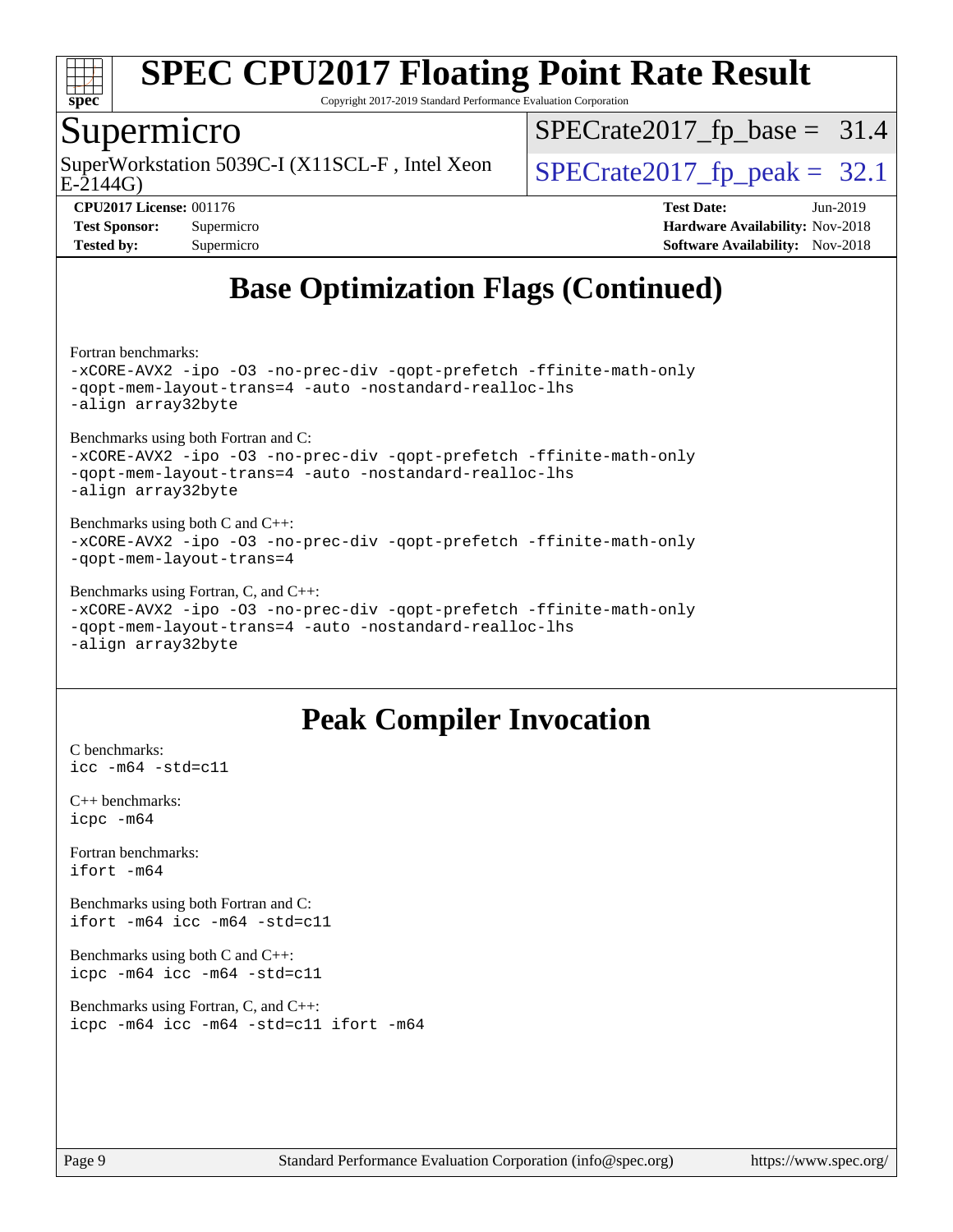

Copyright 2017-2019 Standard Performance Evaluation Corporation

### Supermicro

E-2144G) SuperWorkstation 5039C-I (X11SCL-F, Intel Xeon  $\big|$  [SPECrate2017\\_fp\\_peak =](http://www.spec.org/auto/cpu2017/Docs/result-fields.html#SPECrate2017fppeak) 32.1

 $SPECTate2017_fp\_base = 31.4$ 

**[CPU2017 License:](http://www.spec.org/auto/cpu2017/Docs/result-fields.html#CPU2017License)** 001176 **[Test Date:](http://www.spec.org/auto/cpu2017/Docs/result-fields.html#TestDate)** Jun-2019 **[Test Sponsor:](http://www.spec.org/auto/cpu2017/Docs/result-fields.html#TestSponsor)** Supermicro **[Hardware Availability:](http://www.spec.org/auto/cpu2017/Docs/result-fields.html#HardwareAvailability)** Nov-2018 **[Tested by:](http://www.spec.org/auto/cpu2017/Docs/result-fields.html#Testedby)** Supermicro **Supermicro [Software Availability:](http://www.spec.org/auto/cpu2017/Docs/result-fields.html#SoftwareAvailability)** Nov-2018

# **[Base Optimization Flags \(Continued\)](http://www.spec.org/auto/cpu2017/Docs/result-fields.html#BaseOptimizationFlags)**

[Fortran benchmarks](http://www.spec.org/auto/cpu2017/Docs/result-fields.html#Fortranbenchmarks):

[-xCORE-AVX2](http://www.spec.org/cpu2017/results/res2019q3/cpu2017-20190625-15861.flags.html#user_FCbase_f-xCORE-AVX2) [-ipo](http://www.spec.org/cpu2017/results/res2019q3/cpu2017-20190625-15861.flags.html#user_FCbase_f-ipo) [-O3](http://www.spec.org/cpu2017/results/res2019q3/cpu2017-20190625-15861.flags.html#user_FCbase_f-O3) [-no-prec-div](http://www.spec.org/cpu2017/results/res2019q3/cpu2017-20190625-15861.flags.html#user_FCbase_f-no-prec-div) [-qopt-prefetch](http://www.spec.org/cpu2017/results/res2019q3/cpu2017-20190625-15861.flags.html#user_FCbase_f-qopt-prefetch) [-ffinite-math-only](http://www.spec.org/cpu2017/results/res2019q3/cpu2017-20190625-15861.flags.html#user_FCbase_f_finite_math_only_cb91587bd2077682c4b38af759c288ed7c732db004271a9512da14a4f8007909a5f1427ecbf1a0fb78ff2a814402c6114ac565ca162485bbcae155b5e4258871) [-qopt-mem-layout-trans=4](http://www.spec.org/cpu2017/results/res2019q3/cpu2017-20190625-15861.flags.html#user_FCbase_f-qopt-mem-layout-trans_fa39e755916c150a61361b7846f310bcdf6f04e385ef281cadf3647acec3f0ae266d1a1d22d972a7087a248fd4e6ca390a3634700869573d231a252c784941a8) [-auto](http://www.spec.org/cpu2017/results/res2019q3/cpu2017-20190625-15861.flags.html#user_FCbase_f-auto) [-nostandard-realloc-lhs](http://www.spec.org/cpu2017/results/res2019q3/cpu2017-20190625-15861.flags.html#user_FCbase_f_2003_std_realloc_82b4557e90729c0f113870c07e44d33d6f5a304b4f63d4c15d2d0f1fab99f5daaed73bdb9275d9ae411527f28b936061aa8b9c8f2d63842963b95c9dd6426b8a) [-align array32byte](http://www.spec.org/cpu2017/results/res2019q3/cpu2017-20190625-15861.flags.html#user_FCbase_align_array32byte_b982fe038af199962ba9a80c053b8342c548c85b40b8e86eb3cc33dee0d7986a4af373ac2d51c3f7cf710a18d62fdce2948f201cd044323541f22fc0fffc51b6)

[Benchmarks using both Fortran and C](http://www.spec.org/auto/cpu2017/Docs/result-fields.html#BenchmarksusingbothFortranandC): [-xCORE-AVX2](http://www.spec.org/cpu2017/results/res2019q3/cpu2017-20190625-15861.flags.html#user_CC_FCbase_f-xCORE-AVX2) [-ipo](http://www.spec.org/cpu2017/results/res2019q3/cpu2017-20190625-15861.flags.html#user_CC_FCbase_f-ipo) [-O3](http://www.spec.org/cpu2017/results/res2019q3/cpu2017-20190625-15861.flags.html#user_CC_FCbase_f-O3) [-no-prec-div](http://www.spec.org/cpu2017/results/res2019q3/cpu2017-20190625-15861.flags.html#user_CC_FCbase_f-no-prec-div) [-qopt-prefetch](http://www.spec.org/cpu2017/results/res2019q3/cpu2017-20190625-15861.flags.html#user_CC_FCbase_f-qopt-prefetch) [-ffinite-math-only](http://www.spec.org/cpu2017/results/res2019q3/cpu2017-20190625-15861.flags.html#user_CC_FCbase_f_finite_math_only_cb91587bd2077682c4b38af759c288ed7c732db004271a9512da14a4f8007909a5f1427ecbf1a0fb78ff2a814402c6114ac565ca162485bbcae155b5e4258871) [-qopt-mem-layout-trans=4](http://www.spec.org/cpu2017/results/res2019q3/cpu2017-20190625-15861.flags.html#user_CC_FCbase_f-qopt-mem-layout-trans_fa39e755916c150a61361b7846f310bcdf6f04e385ef281cadf3647acec3f0ae266d1a1d22d972a7087a248fd4e6ca390a3634700869573d231a252c784941a8) [-auto](http://www.spec.org/cpu2017/results/res2019q3/cpu2017-20190625-15861.flags.html#user_CC_FCbase_f-auto) [-nostandard-realloc-lhs](http://www.spec.org/cpu2017/results/res2019q3/cpu2017-20190625-15861.flags.html#user_CC_FCbase_f_2003_std_realloc_82b4557e90729c0f113870c07e44d33d6f5a304b4f63d4c15d2d0f1fab99f5daaed73bdb9275d9ae411527f28b936061aa8b9c8f2d63842963b95c9dd6426b8a) [-align array32byte](http://www.spec.org/cpu2017/results/res2019q3/cpu2017-20190625-15861.flags.html#user_CC_FCbase_align_array32byte_b982fe038af199962ba9a80c053b8342c548c85b40b8e86eb3cc33dee0d7986a4af373ac2d51c3f7cf710a18d62fdce2948f201cd044323541f22fc0fffc51b6)

[Benchmarks using both C and C++](http://www.spec.org/auto/cpu2017/Docs/result-fields.html#BenchmarksusingbothCandCXX): [-xCORE-AVX2](http://www.spec.org/cpu2017/results/res2019q3/cpu2017-20190625-15861.flags.html#user_CC_CXXbase_f-xCORE-AVX2) [-ipo](http://www.spec.org/cpu2017/results/res2019q3/cpu2017-20190625-15861.flags.html#user_CC_CXXbase_f-ipo) [-O3](http://www.spec.org/cpu2017/results/res2019q3/cpu2017-20190625-15861.flags.html#user_CC_CXXbase_f-O3) [-no-prec-div](http://www.spec.org/cpu2017/results/res2019q3/cpu2017-20190625-15861.flags.html#user_CC_CXXbase_f-no-prec-div) [-qopt-prefetch](http://www.spec.org/cpu2017/results/res2019q3/cpu2017-20190625-15861.flags.html#user_CC_CXXbase_f-qopt-prefetch) [-ffinite-math-only](http://www.spec.org/cpu2017/results/res2019q3/cpu2017-20190625-15861.flags.html#user_CC_CXXbase_f_finite_math_only_cb91587bd2077682c4b38af759c288ed7c732db004271a9512da14a4f8007909a5f1427ecbf1a0fb78ff2a814402c6114ac565ca162485bbcae155b5e4258871) [-qopt-mem-layout-trans=4](http://www.spec.org/cpu2017/results/res2019q3/cpu2017-20190625-15861.flags.html#user_CC_CXXbase_f-qopt-mem-layout-trans_fa39e755916c150a61361b7846f310bcdf6f04e385ef281cadf3647acec3f0ae266d1a1d22d972a7087a248fd4e6ca390a3634700869573d231a252c784941a8)

[Benchmarks using Fortran, C, and C++:](http://www.spec.org/auto/cpu2017/Docs/result-fields.html#BenchmarksusingFortranCandCXX)

[-xCORE-AVX2](http://www.spec.org/cpu2017/results/res2019q3/cpu2017-20190625-15861.flags.html#user_CC_CXX_FCbase_f-xCORE-AVX2) [-ipo](http://www.spec.org/cpu2017/results/res2019q3/cpu2017-20190625-15861.flags.html#user_CC_CXX_FCbase_f-ipo) [-O3](http://www.spec.org/cpu2017/results/res2019q3/cpu2017-20190625-15861.flags.html#user_CC_CXX_FCbase_f-O3) [-no-prec-div](http://www.spec.org/cpu2017/results/res2019q3/cpu2017-20190625-15861.flags.html#user_CC_CXX_FCbase_f-no-prec-div) [-qopt-prefetch](http://www.spec.org/cpu2017/results/res2019q3/cpu2017-20190625-15861.flags.html#user_CC_CXX_FCbase_f-qopt-prefetch) [-ffinite-math-only](http://www.spec.org/cpu2017/results/res2019q3/cpu2017-20190625-15861.flags.html#user_CC_CXX_FCbase_f_finite_math_only_cb91587bd2077682c4b38af759c288ed7c732db004271a9512da14a4f8007909a5f1427ecbf1a0fb78ff2a814402c6114ac565ca162485bbcae155b5e4258871) [-qopt-mem-layout-trans=4](http://www.spec.org/cpu2017/results/res2019q3/cpu2017-20190625-15861.flags.html#user_CC_CXX_FCbase_f-qopt-mem-layout-trans_fa39e755916c150a61361b7846f310bcdf6f04e385ef281cadf3647acec3f0ae266d1a1d22d972a7087a248fd4e6ca390a3634700869573d231a252c784941a8) [-auto](http://www.spec.org/cpu2017/results/res2019q3/cpu2017-20190625-15861.flags.html#user_CC_CXX_FCbase_f-auto) [-nostandard-realloc-lhs](http://www.spec.org/cpu2017/results/res2019q3/cpu2017-20190625-15861.flags.html#user_CC_CXX_FCbase_f_2003_std_realloc_82b4557e90729c0f113870c07e44d33d6f5a304b4f63d4c15d2d0f1fab99f5daaed73bdb9275d9ae411527f28b936061aa8b9c8f2d63842963b95c9dd6426b8a) [-align array32byte](http://www.spec.org/cpu2017/results/res2019q3/cpu2017-20190625-15861.flags.html#user_CC_CXX_FCbase_align_array32byte_b982fe038af199962ba9a80c053b8342c548c85b40b8e86eb3cc33dee0d7986a4af373ac2d51c3f7cf710a18d62fdce2948f201cd044323541f22fc0fffc51b6)

### **[Peak Compiler Invocation](http://www.spec.org/auto/cpu2017/Docs/result-fields.html#PeakCompilerInvocation)**

[C benchmarks](http://www.spec.org/auto/cpu2017/Docs/result-fields.html#Cbenchmarks): [icc -m64 -std=c11](http://www.spec.org/cpu2017/results/res2019q3/cpu2017-20190625-15861.flags.html#user_CCpeak_intel_icc_64bit_c11_33ee0cdaae7deeeab2a9725423ba97205ce30f63b9926c2519791662299b76a0318f32ddfffdc46587804de3178b4f9328c46fa7c2b0cd779d7a61945c91cd35)

[C++ benchmarks:](http://www.spec.org/auto/cpu2017/Docs/result-fields.html#CXXbenchmarks) [icpc -m64](http://www.spec.org/cpu2017/results/res2019q3/cpu2017-20190625-15861.flags.html#user_CXXpeak_intel_icpc_64bit_4ecb2543ae3f1412ef961e0650ca070fec7b7afdcd6ed48761b84423119d1bf6bdf5cad15b44d48e7256388bc77273b966e5eb805aefd121eb22e9299b2ec9d9)

[Fortran benchmarks](http://www.spec.org/auto/cpu2017/Docs/result-fields.html#Fortranbenchmarks): [ifort -m64](http://www.spec.org/cpu2017/results/res2019q3/cpu2017-20190625-15861.flags.html#user_FCpeak_intel_ifort_64bit_24f2bb282fbaeffd6157abe4f878425411749daecae9a33200eee2bee2fe76f3b89351d69a8130dd5949958ce389cf37ff59a95e7a40d588e8d3a57e0c3fd751)

[Benchmarks using both Fortran and C](http://www.spec.org/auto/cpu2017/Docs/result-fields.html#BenchmarksusingbothFortranandC): [ifort -m64](http://www.spec.org/cpu2017/results/res2019q3/cpu2017-20190625-15861.flags.html#user_CC_FCpeak_intel_ifort_64bit_24f2bb282fbaeffd6157abe4f878425411749daecae9a33200eee2bee2fe76f3b89351d69a8130dd5949958ce389cf37ff59a95e7a40d588e8d3a57e0c3fd751) [icc -m64 -std=c11](http://www.spec.org/cpu2017/results/res2019q3/cpu2017-20190625-15861.flags.html#user_CC_FCpeak_intel_icc_64bit_c11_33ee0cdaae7deeeab2a9725423ba97205ce30f63b9926c2519791662299b76a0318f32ddfffdc46587804de3178b4f9328c46fa7c2b0cd779d7a61945c91cd35)

[Benchmarks using both C and C++](http://www.spec.org/auto/cpu2017/Docs/result-fields.html#BenchmarksusingbothCandCXX): [icpc -m64](http://www.spec.org/cpu2017/results/res2019q3/cpu2017-20190625-15861.flags.html#user_CC_CXXpeak_intel_icpc_64bit_4ecb2543ae3f1412ef961e0650ca070fec7b7afdcd6ed48761b84423119d1bf6bdf5cad15b44d48e7256388bc77273b966e5eb805aefd121eb22e9299b2ec9d9) [icc -m64 -std=c11](http://www.spec.org/cpu2017/results/res2019q3/cpu2017-20190625-15861.flags.html#user_CC_CXXpeak_intel_icc_64bit_c11_33ee0cdaae7deeeab2a9725423ba97205ce30f63b9926c2519791662299b76a0318f32ddfffdc46587804de3178b4f9328c46fa7c2b0cd779d7a61945c91cd35)

[Benchmarks using Fortran, C, and C++:](http://www.spec.org/auto/cpu2017/Docs/result-fields.html#BenchmarksusingFortranCandCXX) [icpc -m64](http://www.spec.org/cpu2017/results/res2019q3/cpu2017-20190625-15861.flags.html#user_CC_CXX_FCpeak_intel_icpc_64bit_4ecb2543ae3f1412ef961e0650ca070fec7b7afdcd6ed48761b84423119d1bf6bdf5cad15b44d48e7256388bc77273b966e5eb805aefd121eb22e9299b2ec9d9) [icc -m64 -std=c11](http://www.spec.org/cpu2017/results/res2019q3/cpu2017-20190625-15861.flags.html#user_CC_CXX_FCpeak_intel_icc_64bit_c11_33ee0cdaae7deeeab2a9725423ba97205ce30f63b9926c2519791662299b76a0318f32ddfffdc46587804de3178b4f9328c46fa7c2b0cd779d7a61945c91cd35) [ifort -m64](http://www.spec.org/cpu2017/results/res2019q3/cpu2017-20190625-15861.flags.html#user_CC_CXX_FCpeak_intel_ifort_64bit_24f2bb282fbaeffd6157abe4f878425411749daecae9a33200eee2bee2fe76f3b89351d69a8130dd5949958ce389cf37ff59a95e7a40d588e8d3a57e0c3fd751)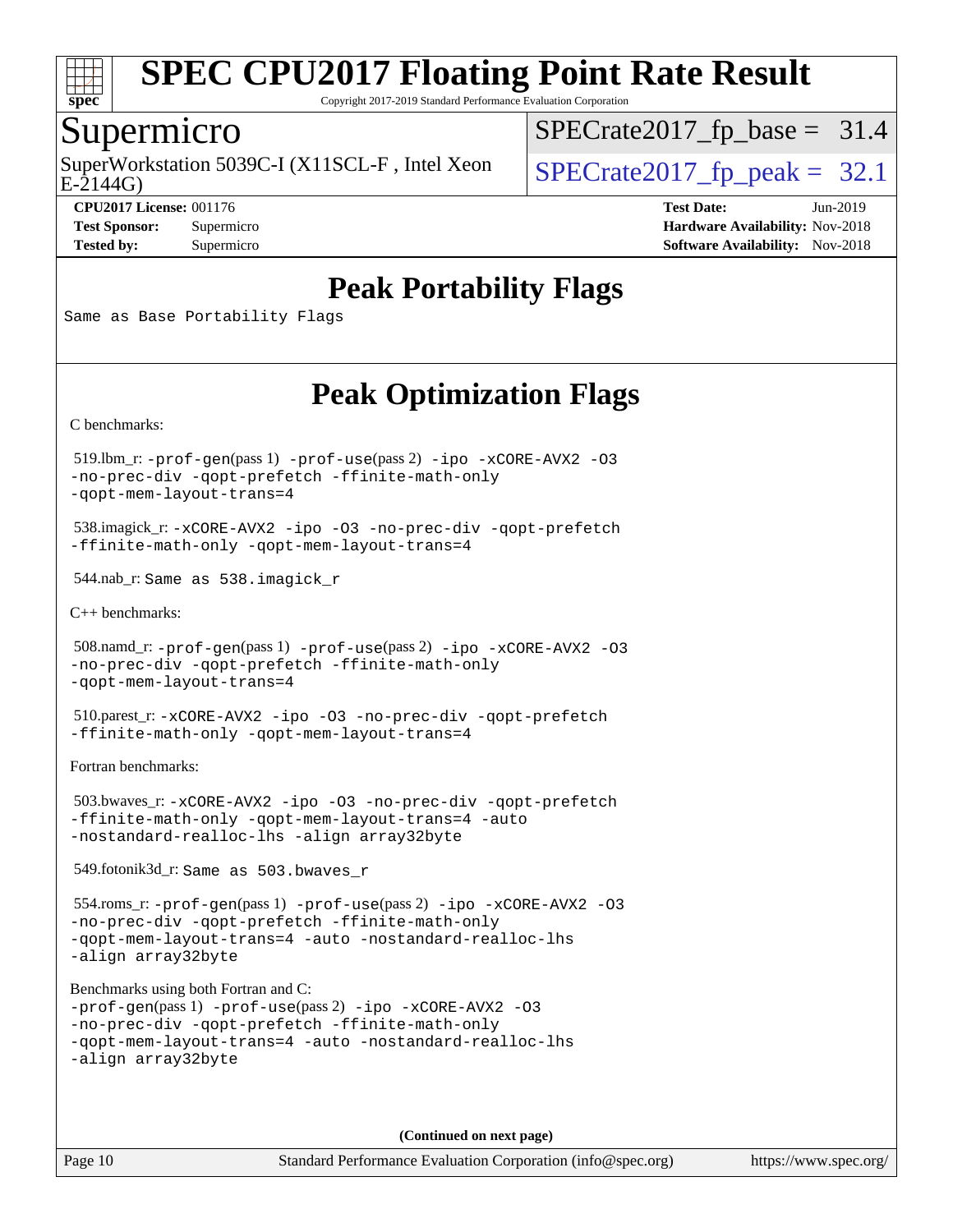

Copyright 2017-2019 Standard Performance Evaluation Corporation

### Supermicro

SuperWorkstation 5039C-I (X11SCL-F, Intel Xeon  $\big|$  [SPECrate2017\\_fp\\_peak =](http://www.spec.org/auto/cpu2017/Docs/result-fields.html#SPECrate2017fppeak) 32.1

 $SPECrate2017_fp\_base = 31.4$ 

E-2144G)

**[CPU2017 License:](http://www.spec.org/auto/cpu2017/Docs/result-fields.html#CPU2017License)** 001176 **[Test Date:](http://www.spec.org/auto/cpu2017/Docs/result-fields.html#TestDate)** Jun-2019 **[Test Sponsor:](http://www.spec.org/auto/cpu2017/Docs/result-fields.html#TestSponsor)** Supermicro **[Hardware Availability:](http://www.spec.org/auto/cpu2017/Docs/result-fields.html#HardwareAvailability)** Nov-2018 **[Tested by:](http://www.spec.org/auto/cpu2017/Docs/result-fields.html#Testedby)** Supermicro **Supermicro [Software Availability:](http://www.spec.org/auto/cpu2017/Docs/result-fields.html#SoftwareAvailability)** Nov-2018

# **[Peak Portability Flags](http://www.spec.org/auto/cpu2017/Docs/result-fields.html#PeakPortabilityFlags)**

Same as Base Portability Flags

# **[Peak Optimization Flags](http://www.spec.org/auto/cpu2017/Docs/result-fields.html#PeakOptimizationFlags)**

[C benchmarks](http://www.spec.org/auto/cpu2017/Docs/result-fields.html#Cbenchmarks):

 519.lbm\_r: [-prof-gen](http://www.spec.org/cpu2017/results/res2019q3/cpu2017-20190625-15861.flags.html#user_peakPASS1_CFLAGSPASS1_LDFLAGS519_lbm_r_prof_gen_5aa4926d6013ddb2a31985c654b3eb18169fc0c6952a63635c234f711e6e63dd76e94ad52365559451ec499a2cdb89e4dc58ba4c67ef54ca681ffbe1461d6b36)(pass 1) [-prof-use](http://www.spec.org/cpu2017/results/res2019q3/cpu2017-20190625-15861.flags.html#user_peakPASS2_CFLAGSPASS2_LDFLAGS519_lbm_r_prof_use_1a21ceae95f36a2b53c25747139a6c16ca95bd9def2a207b4f0849963b97e94f5260e30a0c64f4bb623698870e679ca08317ef8150905d41bd88c6f78df73f19)(pass 2) [-ipo](http://www.spec.org/cpu2017/results/res2019q3/cpu2017-20190625-15861.flags.html#user_peakPASS1_COPTIMIZEPASS2_COPTIMIZE519_lbm_r_f-ipo) [-xCORE-AVX2](http://www.spec.org/cpu2017/results/res2019q3/cpu2017-20190625-15861.flags.html#user_peakPASS2_COPTIMIZE519_lbm_r_f-xCORE-AVX2) [-O3](http://www.spec.org/cpu2017/results/res2019q3/cpu2017-20190625-15861.flags.html#user_peakPASS1_COPTIMIZEPASS2_COPTIMIZE519_lbm_r_f-O3) [-no-prec-div](http://www.spec.org/cpu2017/results/res2019q3/cpu2017-20190625-15861.flags.html#user_peakPASS1_COPTIMIZEPASS2_COPTIMIZE519_lbm_r_f-no-prec-div) [-qopt-prefetch](http://www.spec.org/cpu2017/results/res2019q3/cpu2017-20190625-15861.flags.html#user_peakPASS1_COPTIMIZEPASS2_COPTIMIZE519_lbm_r_f-qopt-prefetch) [-ffinite-math-only](http://www.spec.org/cpu2017/results/res2019q3/cpu2017-20190625-15861.flags.html#user_peakPASS1_COPTIMIZEPASS2_COPTIMIZE519_lbm_r_f_finite_math_only_cb91587bd2077682c4b38af759c288ed7c732db004271a9512da14a4f8007909a5f1427ecbf1a0fb78ff2a814402c6114ac565ca162485bbcae155b5e4258871) [-qopt-mem-layout-trans=4](http://www.spec.org/cpu2017/results/res2019q3/cpu2017-20190625-15861.flags.html#user_peakPASS1_COPTIMIZEPASS2_COPTIMIZE519_lbm_r_f-qopt-mem-layout-trans_fa39e755916c150a61361b7846f310bcdf6f04e385ef281cadf3647acec3f0ae266d1a1d22d972a7087a248fd4e6ca390a3634700869573d231a252c784941a8)

 538.imagick\_r: [-xCORE-AVX2](http://www.spec.org/cpu2017/results/res2019q3/cpu2017-20190625-15861.flags.html#user_peakCOPTIMIZE538_imagick_r_f-xCORE-AVX2) [-ipo](http://www.spec.org/cpu2017/results/res2019q3/cpu2017-20190625-15861.flags.html#user_peakCOPTIMIZE538_imagick_r_f-ipo) [-O3](http://www.spec.org/cpu2017/results/res2019q3/cpu2017-20190625-15861.flags.html#user_peakCOPTIMIZE538_imagick_r_f-O3) [-no-prec-div](http://www.spec.org/cpu2017/results/res2019q3/cpu2017-20190625-15861.flags.html#user_peakCOPTIMIZE538_imagick_r_f-no-prec-div) [-qopt-prefetch](http://www.spec.org/cpu2017/results/res2019q3/cpu2017-20190625-15861.flags.html#user_peakCOPTIMIZE538_imagick_r_f-qopt-prefetch) [-ffinite-math-only](http://www.spec.org/cpu2017/results/res2019q3/cpu2017-20190625-15861.flags.html#user_peakCOPTIMIZE538_imagick_r_f_finite_math_only_cb91587bd2077682c4b38af759c288ed7c732db004271a9512da14a4f8007909a5f1427ecbf1a0fb78ff2a814402c6114ac565ca162485bbcae155b5e4258871) [-qopt-mem-layout-trans=4](http://www.spec.org/cpu2017/results/res2019q3/cpu2017-20190625-15861.flags.html#user_peakCOPTIMIZE538_imagick_r_f-qopt-mem-layout-trans_fa39e755916c150a61361b7846f310bcdf6f04e385ef281cadf3647acec3f0ae266d1a1d22d972a7087a248fd4e6ca390a3634700869573d231a252c784941a8)

544.nab\_r: Same as 538.imagick\_r

[C++ benchmarks:](http://www.spec.org/auto/cpu2017/Docs/result-fields.html#CXXbenchmarks)

```
 508.namd_r: -prof-gen(pass 1) -prof-use(pass 2) -ipo -xCORE-AVX2 -O3
-no-prec-div -qopt-prefetch -ffinite-math-only
-qopt-mem-layout-trans=4
```
 510.parest\_r: [-xCORE-AVX2](http://www.spec.org/cpu2017/results/res2019q3/cpu2017-20190625-15861.flags.html#user_peakCXXOPTIMIZE510_parest_r_f-xCORE-AVX2) [-ipo](http://www.spec.org/cpu2017/results/res2019q3/cpu2017-20190625-15861.flags.html#user_peakCXXOPTIMIZE510_parest_r_f-ipo) [-O3](http://www.spec.org/cpu2017/results/res2019q3/cpu2017-20190625-15861.flags.html#user_peakCXXOPTIMIZE510_parest_r_f-O3) [-no-prec-div](http://www.spec.org/cpu2017/results/res2019q3/cpu2017-20190625-15861.flags.html#user_peakCXXOPTIMIZE510_parest_r_f-no-prec-div) [-qopt-prefetch](http://www.spec.org/cpu2017/results/res2019q3/cpu2017-20190625-15861.flags.html#user_peakCXXOPTIMIZE510_parest_r_f-qopt-prefetch) [-ffinite-math-only](http://www.spec.org/cpu2017/results/res2019q3/cpu2017-20190625-15861.flags.html#user_peakCXXOPTIMIZE510_parest_r_f_finite_math_only_cb91587bd2077682c4b38af759c288ed7c732db004271a9512da14a4f8007909a5f1427ecbf1a0fb78ff2a814402c6114ac565ca162485bbcae155b5e4258871) [-qopt-mem-layout-trans=4](http://www.spec.org/cpu2017/results/res2019q3/cpu2017-20190625-15861.flags.html#user_peakCXXOPTIMIZE510_parest_r_f-qopt-mem-layout-trans_fa39e755916c150a61361b7846f310bcdf6f04e385ef281cadf3647acec3f0ae266d1a1d22d972a7087a248fd4e6ca390a3634700869573d231a252c784941a8)

[Fortran benchmarks](http://www.spec.org/auto/cpu2017/Docs/result-fields.html#Fortranbenchmarks):

 503.bwaves\_r: [-xCORE-AVX2](http://www.spec.org/cpu2017/results/res2019q3/cpu2017-20190625-15861.flags.html#user_peakFOPTIMIZE503_bwaves_r_f-xCORE-AVX2) [-ipo](http://www.spec.org/cpu2017/results/res2019q3/cpu2017-20190625-15861.flags.html#user_peakFOPTIMIZE503_bwaves_r_f-ipo) [-O3](http://www.spec.org/cpu2017/results/res2019q3/cpu2017-20190625-15861.flags.html#user_peakFOPTIMIZE503_bwaves_r_f-O3) [-no-prec-div](http://www.spec.org/cpu2017/results/res2019q3/cpu2017-20190625-15861.flags.html#user_peakFOPTIMIZE503_bwaves_r_f-no-prec-div) [-qopt-prefetch](http://www.spec.org/cpu2017/results/res2019q3/cpu2017-20190625-15861.flags.html#user_peakFOPTIMIZE503_bwaves_r_f-qopt-prefetch) [-ffinite-math-only](http://www.spec.org/cpu2017/results/res2019q3/cpu2017-20190625-15861.flags.html#user_peakFOPTIMIZE503_bwaves_r_f_finite_math_only_cb91587bd2077682c4b38af759c288ed7c732db004271a9512da14a4f8007909a5f1427ecbf1a0fb78ff2a814402c6114ac565ca162485bbcae155b5e4258871) [-qopt-mem-layout-trans=4](http://www.spec.org/cpu2017/results/res2019q3/cpu2017-20190625-15861.flags.html#user_peakFOPTIMIZE503_bwaves_r_f-qopt-mem-layout-trans_fa39e755916c150a61361b7846f310bcdf6f04e385ef281cadf3647acec3f0ae266d1a1d22d972a7087a248fd4e6ca390a3634700869573d231a252c784941a8) [-auto](http://www.spec.org/cpu2017/results/res2019q3/cpu2017-20190625-15861.flags.html#user_peakFOPTIMIZE503_bwaves_r_f-auto) [-nostandard-realloc-lhs](http://www.spec.org/cpu2017/results/res2019q3/cpu2017-20190625-15861.flags.html#user_peakEXTRA_FOPTIMIZE503_bwaves_r_f_2003_std_realloc_82b4557e90729c0f113870c07e44d33d6f5a304b4f63d4c15d2d0f1fab99f5daaed73bdb9275d9ae411527f28b936061aa8b9c8f2d63842963b95c9dd6426b8a) [-align array32byte](http://www.spec.org/cpu2017/results/res2019q3/cpu2017-20190625-15861.flags.html#user_peakEXTRA_FOPTIMIZE503_bwaves_r_align_array32byte_b982fe038af199962ba9a80c053b8342c548c85b40b8e86eb3cc33dee0d7986a4af373ac2d51c3f7cf710a18d62fdce2948f201cd044323541f22fc0fffc51b6)

549.fotonik3d\_r: Same as 503.bwaves\_r

 554.roms\_r: [-prof-gen](http://www.spec.org/cpu2017/results/res2019q3/cpu2017-20190625-15861.flags.html#user_peakPASS1_FFLAGSPASS1_LDFLAGS554_roms_r_prof_gen_5aa4926d6013ddb2a31985c654b3eb18169fc0c6952a63635c234f711e6e63dd76e94ad52365559451ec499a2cdb89e4dc58ba4c67ef54ca681ffbe1461d6b36)(pass 1) [-prof-use](http://www.spec.org/cpu2017/results/res2019q3/cpu2017-20190625-15861.flags.html#user_peakPASS2_FFLAGSPASS2_LDFLAGS554_roms_r_prof_use_1a21ceae95f36a2b53c25747139a6c16ca95bd9def2a207b4f0849963b97e94f5260e30a0c64f4bb623698870e679ca08317ef8150905d41bd88c6f78df73f19)(pass 2) [-ipo](http://www.spec.org/cpu2017/results/res2019q3/cpu2017-20190625-15861.flags.html#user_peakPASS1_FOPTIMIZEPASS2_FOPTIMIZE554_roms_r_f-ipo) [-xCORE-AVX2](http://www.spec.org/cpu2017/results/res2019q3/cpu2017-20190625-15861.flags.html#user_peakPASS2_FOPTIMIZE554_roms_r_f-xCORE-AVX2) [-O3](http://www.spec.org/cpu2017/results/res2019q3/cpu2017-20190625-15861.flags.html#user_peakPASS1_FOPTIMIZEPASS2_FOPTIMIZE554_roms_r_f-O3) [-no-prec-div](http://www.spec.org/cpu2017/results/res2019q3/cpu2017-20190625-15861.flags.html#user_peakPASS1_FOPTIMIZEPASS2_FOPTIMIZE554_roms_r_f-no-prec-div) [-qopt-prefetch](http://www.spec.org/cpu2017/results/res2019q3/cpu2017-20190625-15861.flags.html#user_peakPASS1_FOPTIMIZEPASS2_FOPTIMIZE554_roms_r_f-qopt-prefetch) [-ffinite-math-only](http://www.spec.org/cpu2017/results/res2019q3/cpu2017-20190625-15861.flags.html#user_peakPASS1_FOPTIMIZEPASS2_FOPTIMIZE554_roms_r_f_finite_math_only_cb91587bd2077682c4b38af759c288ed7c732db004271a9512da14a4f8007909a5f1427ecbf1a0fb78ff2a814402c6114ac565ca162485bbcae155b5e4258871) [-qopt-mem-layout-trans=4](http://www.spec.org/cpu2017/results/res2019q3/cpu2017-20190625-15861.flags.html#user_peakPASS1_FOPTIMIZEPASS2_FOPTIMIZE554_roms_r_f-qopt-mem-layout-trans_fa39e755916c150a61361b7846f310bcdf6f04e385ef281cadf3647acec3f0ae266d1a1d22d972a7087a248fd4e6ca390a3634700869573d231a252c784941a8) [-auto](http://www.spec.org/cpu2017/results/res2019q3/cpu2017-20190625-15861.flags.html#user_peakPASS2_FOPTIMIZE554_roms_r_f-auto) [-nostandard-realloc-lhs](http://www.spec.org/cpu2017/results/res2019q3/cpu2017-20190625-15861.flags.html#user_peakEXTRA_FOPTIMIZE554_roms_r_f_2003_std_realloc_82b4557e90729c0f113870c07e44d33d6f5a304b4f63d4c15d2d0f1fab99f5daaed73bdb9275d9ae411527f28b936061aa8b9c8f2d63842963b95c9dd6426b8a) [-align array32byte](http://www.spec.org/cpu2017/results/res2019q3/cpu2017-20190625-15861.flags.html#user_peakEXTRA_FOPTIMIZE554_roms_r_align_array32byte_b982fe038af199962ba9a80c053b8342c548c85b40b8e86eb3cc33dee0d7986a4af373ac2d51c3f7cf710a18d62fdce2948f201cd044323541f22fc0fffc51b6)

[Benchmarks using both Fortran and C](http://www.spec.org/auto/cpu2017/Docs/result-fields.html#BenchmarksusingbothFortranandC):

```
-prof-gen(pass 1) -prof-use(pass 2) -ipo -xCORE-AVX2 -O3
-no-prec-div -qopt-prefetch -ffinite-math-only
-qopt-mem-layout-trans=4 -auto -nostandard-realloc-lhs
-align array32byte
```
**(Continued on next page)**